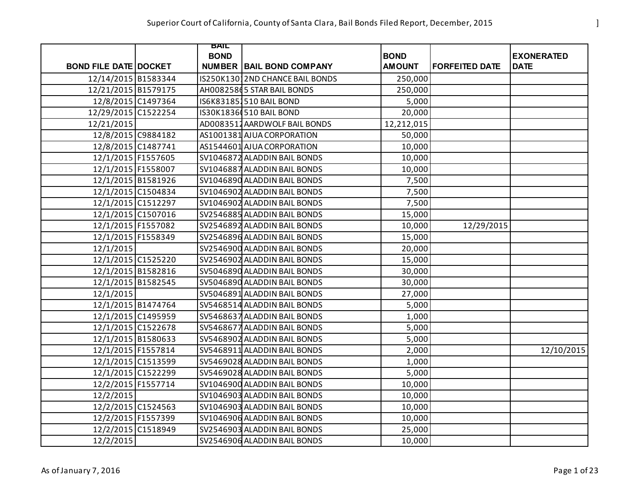|                              | BAIL        |                                 |               |                       |                   |
|------------------------------|-------------|---------------------------------|---------------|-----------------------|-------------------|
|                              | <b>BOND</b> |                                 | <b>BOND</b>   |                       | <b>EXONERATED</b> |
| <b>BOND FILE DATE DOCKET</b> |             | <b>NUMBER BAIL BOND COMPANY</b> | <b>AMOUNT</b> | <b>FORFEITED DATE</b> | <b>DATE</b>       |
| 12/14/2015 B1583344          |             | IS250K13012ND CHANCE BAIL BONDS | 250,000       |                       |                   |
| 12/21/2015 B1579175          |             | AH0082586 5 STAR BAIL BONDS     | 250,000       |                       |                   |
| 12/8/2015 C1497364           |             | IS6K831851510 BAIL BOND         | 5,000         |                       |                   |
| 12/29/2015 C1522254          |             | IS30K1836(510 BAIL BOND         | 20,000        |                       |                   |
| 12/21/2015                   |             | AD0083512 AARDWOLF BAIL BONDS   | 12,212,015    |                       |                   |
| 12/8/2015 C9884182           |             | AS1001381 AJUA CORPORATION      | 50,000        |                       |                   |
| 12/8/2015 C1487741           |             | AS1544601 AJUA CORPORATION      | 10,000        |                       |                   |
| 12/1/2015 F1557605           |             | SV1046872 ALADDIN BAIL BONDS    | 10,000        |                       |                   |
| 12/1/2015 F1558007           |             | SV1046887 ALADDIN BAIL BONDS    | 10,000        |                       |                   |
| 12/1/2015 B1581926           |             | SV1046890 ALADDIN BAIL BONDS    | 7,500         |                       |                   |
| 12/1/2015 C1504834           |             | SV1046902 ALADDIN BAIL BONDS    | 7,500         |                       |                   |
| 12/1/2015 C1512297           |             | SV1046902 ALADDIN BAIL BONDS    | 7,500         |                       |                   |
| 12/1/2015 C1507016           |             | SV2546885 ALADDIN BAIL BONDS    | 15,000        |                       |                   |
| 12/1/2015 F1557082           |             | SV2546892 ALADDIN BAIL BONDS    | 10,000        | 12/29/2015            |                   |
| 12/1/2015 F1558349           |             | SV2546896 ALADDIN BAIL BONDS    | 15,000        |                       |                   |
| 12/1/2015                    |             | SV2546900 ALADDIN BAIL BONDS    | 20,000        |                       |                   |
| 12/1/2015 C1525220           |             | SV2546902 ALADDIN BAIL BONDS    | 15,000        |                       |                   |
| 12/1/2015 B1582816           |             | SV5046890 ALADDIN BAIL BONDS    | 30,000        |                       |                   |
| 12/1/2015 B1582545           |             | SV5046890 ALADDIN BAIL BONDS    | 30,000        |                       |                   |
| 12/1/2015                    |             | SV5046891 ALADDIN BAIL BONDS    | 27,000        |                       |                   |
| 12/1/2015 B1474764           |             | SV5468514 ALADDIN BAIL BONDS    | 5,000         |                       |                   |
| 12/1/2015 C1495959           |             | SV5468637 ALADDIN BAIL BONDS    | 1,000         |                       |                   |
| 12/1/2015 C1522678           |             | SV5468677 ALADDIN BAIL BONDS    | 5,000         |                       |                   |
| 12/1/2015 B1580633           |             | SV5468902 ALADDIN BAIL BONDS    | 5,000         |                       |                   |
| 12/1/2015 F1557814           |             | SV5468911 ALADDIN BAIL BONDS    | 2,000         |                       | 12/10/2015        |
| 12/1/2015 C1513599           |             | SV5469028 ALADDIN BAIL BONDS    | 1,000         |                       |                   |
| 12/1/2015 C1522299           |             | SV5469028 ALADDIN BAIL BONDS    | 5,000         |                       |                   |
| 12/2/2015 F1557714           |             | SV1046900 ALADDIN BAIL BONDS    | 10,000        |                       |                   |
| 12/2/2015                    |             | SV1046903 ALADDIN BAIL BONDS    | 10,000        |                       |                   |
| 12/2/2015 C1524563           |             | SV1046903 ALADDIN BAIL BONDS    | 10,000        |                       |                   |
| 12/2/2015 F1557399           |             | SV1046906 ALADDIN BAIL BONDS    | 10,000        |                       |                   |
| 12/2/2015 C1518949           |             | SV2546903 ALADDIN BAIL BONDS    | 25,000        |                       |                   |
| 12/2/2015                    |             | SV2546906 ALADDIN BAIL BONDS    | 10,000        |                       |                   |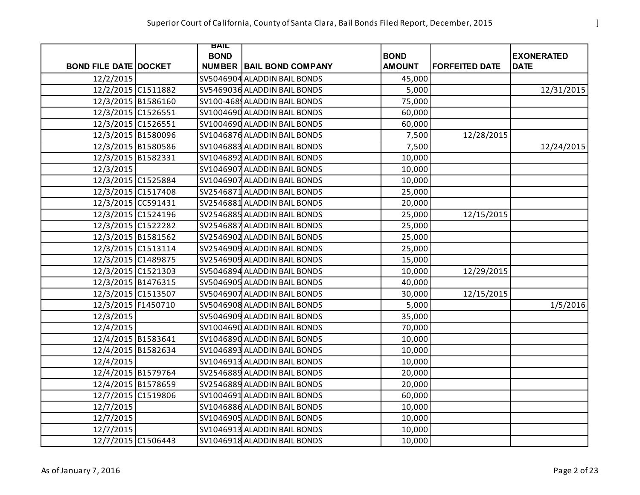|                              | BAIL        |                                 |                              |                       |                                  |
|------------------------------|-------------|---------------------------------|------------------------------|-----------------------|----------------------------------|
| <b>BOND FILE DATE DOCKET</b> | <b>BOND</b> |                                 | <b>BOND</b><br><b>AMOUNT</b> | <b>FORFEITED DATE</b> | <b>EXONERATED</b><br><b>DATE</b> |
|                              |             | <b>NUMBER BAIL BOND COMPANY</b> |                              |                       |                                  |
| 12/2/2015                    |             | SV5046904 ALADDIN BAIL BONDS    | 45,000                       |                       |                                  |
| 12/2/2015 C1511882           |             | SV5469036 ALADDIN BAIL BONDS    | 5,000                        |                       | 12/31/2015                       |
| 12/3/2015 B1586160           |             | SV100-468 ALADDIN BAIL BONDS    | 75,000                       |                       |                                  |
| 12/3/2015 C1526551           |             | SV1004690 ALADDIN BAIL BONDS    | 60,000                       |                       |                                  |
| 12/3/2015 C1526551           |             | SV1004690 ALADDIN BAIL BONDS    | 60,000                       |                       |                                  |
| 12/3/2015 B1580096           |             | SV1046876 ALADDIN BAIL BONDS    | 7,500                        | 12/28/2015            |                                  |
| 12/3/2015 B1580586           |             | SV1046883 ALADDIN BAIL BONDS    | 7,500                        |                       | 12/24/2015                       |
| 12/3/2015 B1582331           |             | SV1046892 ALADDIN BAIL BONDS    | 10,000                       |                       |                                  |
| 12/3/2015                    |             | SV1046907 ALADDIN BAIL BONDS    | 10,000                       |                       |                                  |
| 12/3/2015 C1525884           |             | SV1046907 ALADDIN BAIL BONDS    | 10,000                       |                       |                                  |
| 12/3/2015 C1517408           |             | SV2546871 ALADDIN BAIL BONDS    | 25,000                       |                       |                                  |
| 12/3/2015 CC591431           |             | SV2546881 ALADDIN BAIL BONDS    | 20,000                       |                       |                                  |
| 12/3/2015 C1524196           |             | SV2546885 ALADDIN BAIL BONDS    | 25,000                       | 12/15/2015            |                                  |
| 12/3/2015 C1522282           |             | SV2546887 ALADDIN BAIL BONDS    | 25,000                       |                       |                                  |
| 12/3/2015 B1581562           |             | SV2546902 ALADDIN BAIL BONDS    | 25,000                       |                       |                                  |
| 12/3/2015 C1513114           |             | SV2546909 ALADDIN BAIL BONDS    | 25,000                       |                       |                                  |
| 12/3/2015 C1489875           |             | SV2546909 ALADDIN BAIL BONDS    | 15,000                       |                       |                                  |
| 12/3/2015 C1521303           |             | SV5046894 ALADDIN BAIL BONDS    | 10,000                       | 12/29/2015            |                                  |
| 12/3/2015 B1476315           |             | SV5046905 ALADDIN BAIL BONDS    | 40,000                       |                       |                                  |
| 12/3/2015 C1513507           |             | SV5046907 ALADDIN BAIL BONDS    | 30,000                       | 12/15/2015            |                                  |
| 12/3/2015 F1450710           |             | SV5046908 ALADDIN BAIL BONDS    | 5,000                        |                       | 1/5/2016                         |
| 12/3/2015                    |             | SV5046909 ALADDIN BAIL BONDS    | 35,000                       |                       |                                  |
| 12/4/2015                    |             | SV1004690 ALADDIN BAIL BONDS    | 70,000                       |                       |                                  |
| 12/4/2015 B1583641           |             | SV1046890 ALADDIN BAIL BONDS    | 10,000                       |                       |                                  |
| 12/4/2015 B1582634           |             | SV1046893 ALADDIN BAIL BONDS    | 10,000                       |                       |                                  |
| 12/4/2015                    |             | SV1046913 ALADDIN BAIL BONDS    | 10,000                       |                       |                                  |
| 12/4/2015 B1579764           |             | SV2546889 ALADDIN BAIL BONDS    | 20,000                       |                       |                                  |
| 12/4/2015 B1578659           |             | SV2546889 ALADDIN BAIL BONDS    | 20,000                       |                       |                                  |
| 12/7/2015 C1519806           |             | SV1004691 ALADDIN BAIL BONDS    | 60,000                       |                       |                                  |
| 12/7/2015                    |             | SV1046886 ALADDIN BAIL BONDS    | 10,000                       |                       |                                  |
| 12/7/2015                    |             | SV1046905 ALADDIN BAIL BONDS    | 10,000                       |                       |                                  |
| 12/7/2015                    |             | SV1046913 ALADDIN BAIL BONDS    | 10,000                       |                       |                                  |
| 12/7/2015 C1506443           |             | SV1046918 ALADDIN BAIL BONDS    | 10,000                       |                       |                                  |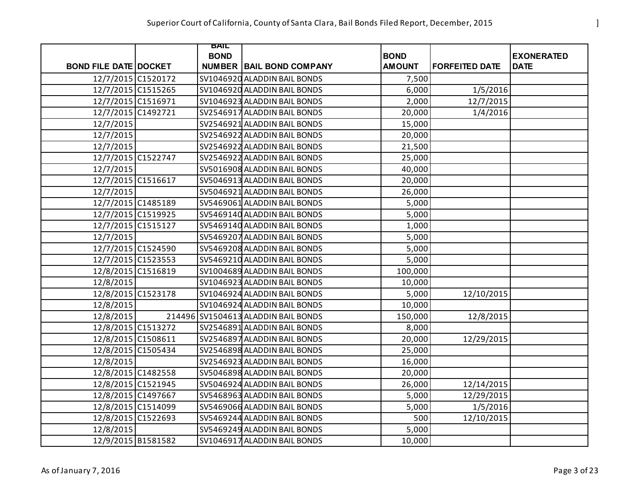|                              | BAIL        |                                     |               |                       |                   |
|------------------------------|-------------|-------------------------------------|---------------|-----------------------|-------------------|
|                              | <b>BOND</b> |                                     | <b>BOND</b>   |                       | <b>EXONERATED</b> |
| <b>BOND FILE DATE DOCKET</b> |             | <b>NUMBER BAIL BOND COMPANY</b>     | <b>AMOUNT</b> | <b>FORFEITED DATE</b> | <b>DATE</b>       |
| 12/7/2015 C1520172           |             | SV1046920 ALADDIN BAIL BONDS        | 7,500         |                       |                   |
| 12/7/2015 C1515265           |             | SV1046920 ALADDIN BAIL BONDS        | 6,000         | 1/5/2016              |                   |
| 12/7/2015 C1516971           |             | SV1046923 ALADDIN BAIL BONDS        | 2,000         | 12/7/2015             |                   |
| 12/7/2015 C1492721           |             | SV2546917 ALADDIN BAIL BONDS        | 20,000        | 1/4/2016              |                   |
| 12/7/2015                    |             | SV2546921 ALADDIN BAIL BONDS        | 15,000        |                       |                   |
| 12/7/2015                    |             | SV2546922 ALADDIN BAIL BONDS        | 20,000        |                       |                   |
| 12/7/2015                    |             | SV2546922 ALADDIN BAIL BONDS        | 21,500        |                       |                   |
| 12/7/2015 C1522747           |             | SV2546922 ALADDIN BAIL BONDS        | 25,000        |                       |                   |
| 12/7/2015                    |             | SV5016908 ALADDIN BAIL BONDS        | 40,000        |                       |                   |
| 12/7/2015 C1516617           |             | SV5046913 ALADDIN BAIL BONDS        | 20,000        |                       |                   |
| 12/7/2015                    |             | SV5046921 ALADDIN BAIL BONDS        | 26,000        |                       |                   |
| 12/7/2015 C1485189           |             | SV5469061 ALADDIN BAIL BONDS        | 5,000         |                       |                   |
| 12/7/2015 C1519925           |             | SV5469140 ALADDIN BAIL BONDS        | 5,000         |                       |                   |
| 12/7/2015 C1515127           |             | SV5469140 ALADDIN BAIL BONDS        | 1,000         |                       |                   |
| 12/7/2015                    |             | SV5469207 ALADDIN BAIL BONDS        | 5,000         |                       |                   |
| 12/7/2015 C1524590           |             | SV5469208 ALADDIN BAIL BONDS        | 5,000         |                       |                   |
| 12/7/2015 C1523553           |             | SV5469210 ALADDIN BAIL BONDS        | 5,000         |                       |                   |
| 12/8/2015 C1516819           |             | SV1004689 ALADDIN BAIL BONDS        | 100,000       |                       |                   |
| 12/8/2015                    |             | SV1046923 ALADDIN BAIL BONDS        | 10,000        |                       |                   |
| 12/8/2015 C1523178           |             | SV1046924 ALADDIN BAIL BONDS        | 5,000         | 12/10/2015            |                   |
| 12/8/2015                    |             | SV1046924 ALADDIN BAIL BONDS        | 10,000        |                       |                   |
| 12/8/2015                    |             | 214496 SV1504613 ALADDIN BAIL BONDS | 150,000       | 12/8/2015             |                   |
| 12/8/2015 C1513272           |             | SV2546891 ALADDIN BAIL BONDS        | 8,000         |                       |                   |
| 12/8/2015 C1508611           |             | SV2546897 ALADDIN BAIL BONDS        | 20,000        | 12/29/2015            |                   |
| 12/8/2015 C1505434           |             | SV2546898 ALADDIN BAIL BONDS        | 25,000        |                       |                   |
| 12/8/2015                    |             | SV2546923 ALADDIN BAIL BONDS        | 16,000        |                       |                   |
| 12/8/2015 C1482558           |             | SV5046898 ALADDIN BAIL BONDS        | 20,000        |                       |                   |
| 12/8/2015 C1521945           |             | SV5046924 ALADDIN BAIL BONDS        | 26,000        | 12/14/2015            |                   |
| 12/8/2015 C1497667           |             | SV5468963 ALADDIN BAIL BONDS        | 5,000         | 12/29/2015            |                   |
| 12/8/2015 C1514099           |             | SV5469066 ALADDIN BAIL BONDS        | 5,000         | 1/5/2016              |                   |
| 12/8/2015 C1522693           |             | SV5469244 ALADDIN BAIL BONDS        | 500           | 12/10/2015            |                   |
| 12/8/2015                    |             | SV5469249 ALADDIN BAIL BONDS        | 5,000         |                       |                   |
| 12/9/2015 B1581582           |             | SV1046917 ALADDIN BAIL BONDS        | 10,000        |                       |                   |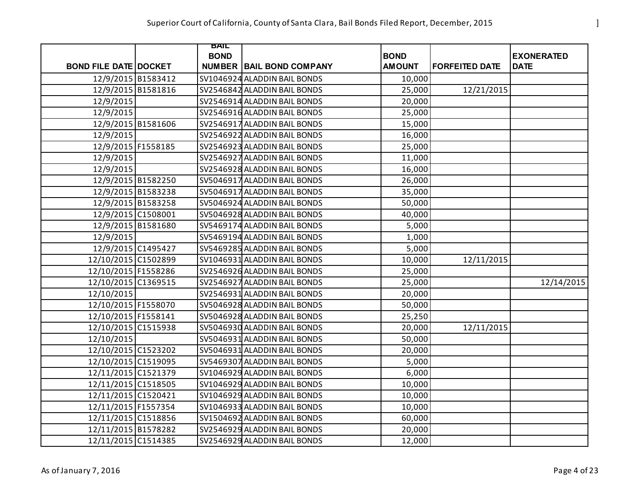|                              | BAIL        |                                 |               |                       |                   |
|------------------------------|-------------|---------------------------------|---------------|-----------------------|-------------------|
|                              | <b>BOND</b> |                                 | <b>BOND</b>   |                       | <b>EXONERATED</b> |
| <b>BOND FILE DATE DOCKET</b> |             | <b>NUMBER BAIL BOND COMPANY</b> | <b>AMOUNT</b> | <b>FORFEITED DATE</b> | <b>DATE</b>       |
| 12/9/2015 B1583412           |             | SV1046924 ALADDIN BAIL BONDS    | 10,000        |                       |                   |
| 12/9/2015 B1581816           |             | SV2546842 ALADDIN BAIL BONDS    | 25,000        | 12/21/2015            |                   |
| 12/9/2015                    |             | SV2546914 ALADDIN BAIL BONDS    | 20,000        |                       |                   |
| 12/9/2015                    |             | SV2546916 ALADDIN BAIL BONDS    | 25,000        |                       |                   |
| 12/9/2015 B1581606           |             | SV2546917 ALADDIN BAIL BONDS    | 15,000        |                       |                   |
| 12/9/2015                    |             | SV2546922 ALADDIN BAIL BONDS    | 16,000        |                       |                   |
| 12/9/2015 F1558185           |             | SV2546923 ALADDIN BAIL BONDS    | 25,000        |                       |                   |
| 12/9/2015                    |             | SV2546927 ALADDIN BAIL BONDS    | 11,000        |                       |                   |
| 12/9/2015                    |             | SV2546928 ALADDIN BAIL BONDS    | 16,000        |                       |                   |
| 12/9/2015 B1582250           |             | SV5046917 ALADDIN BAIL BONDS    | 26,000        |                       |                   |
| 12/9/2015 B1583238           |             | SV5046917 ALADDIN BAIL BONDS    | 35,000        |                       |                   |
| 12/9/2015 B1583258           |             | SV5046924 ALADDIN BAIL BONDS    | 50,000        |                       |                   |
| 12/9/2015 C1508001           |             | SV5046928 ALADDIN BAIL BONDS    | 40,000        |                       |                   |
| 12/9/2015 B1581680           |             | SV5469174 ALADDIN BAIL BONDS    | 5,000         |                       |                   |
| 12/9/2015                    |             | SV5469194 ALADDIN BAIL BONDS    | 1,000         |                       |                   |
| 12/9/2015 C1495427           |             | SV5469285 ALADDIN BAIL BONDS    | 5,000         |                       |                   |
| 12/10/2015 C1502899          |             | SV1046931 ALADDIN BAIL BONDS    | 10,000        | 12/11/2015            |                   |
| 12/10/2015 F1558286          |             | SV2546926 ALADDIN BAIL BONDS    | 25,000        |                       |                   |
| 12/10/2015 C1369515          |             | SV2546927 ALADDIN BAIL BONDS    | 25,000        |                       | 12/14/2015        |
| 12/10/2015                   |             | SV2546931 ALADDIN BAIL BONDS    | 20,000        |                       |                   |
| 12/10/2015 F1558070          |             | SV5046928 ALADDIN BAIL BONDS    | 50,000        |                       |                   |
| 12/10/2015 F1558141          |             | SV5046928 ALADDIN BAIL BONDS    | 25,250        |                       |                   |
| 12/10/2015 C1515938          |             | SV5046930 ALADDIN BAIL BONDS    | 20,000        | 12/11/2015            |                   |
| 12/10/2015                   |             | SV5046931 ALADDIN BAIL BONDS    | 50,000        |                       |                   |
| 12/10/2015 C1523202          |             | SV5046931 ALADDIN BAIL BONDS    | 20,000        |                       |                   |
| 12/10/2015 C1519095          |             | SV5469307 ALADDIN BAIL BONDS    | 5,000         |                       |                   |
| 12/11/2015 C1521379          |             | SV1046929 ALADDIN BAIL BONDS    | 6,000         |                       |                   |
| 12/11/2015 C1518505          |             | SV1046929 ALADDIN BAIL BONDS    | 10,000        |                       |                   |
| 12/11/2015 C1520421          |             | SV1046929 ALADDIN BAIL BONDS    | 10,000        |                       |                   |
| 12/11/2015 F1557354          |             | SV1046933 ALADDIN BAIL BONDS    | 10,000        |                       |                   |
| 12/11/2015 C1518856          |             | SV1504692 ALADDIN BAIL BONDS    | 60,000        |                       |                   |
| 12/11/2015 B1578282          |             | SV2546929 ALADDIN BAIL BONDS    | 20,000        |                       |                   |
| 12/11/2015 C1514385          |             | SV2546929 ALADDIN BAIL BONDS    | 12,000        |                       |                   |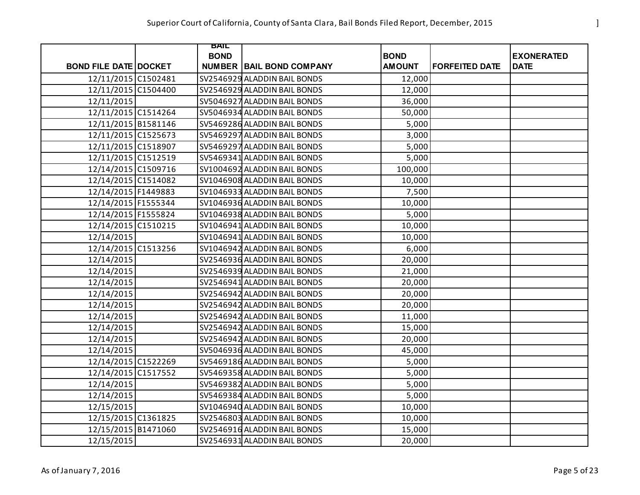|                              | <b>BAIL</b> |                                 |               |                       |                   |
|------------------------------|-------------|---------------------------------|---------------|-----------------------|-------------------|
|                              | <b>BOND</b> |                                 | <b>BOND</b>   |                       | <b>EXONERATED</b> |
| <b>BOND FILE DATE DOCKET</b> |             | <b>NUMBER BAIL BOND COMPANY</b> | <b>AMOUNT</b> | <b>FORFEITED DATE</b> | <b>DATE</b>       |
| 12/11/2015 C1502481          |             | SV2546929 ALADDIN BAIL BONDS    | 12,000        |                       |                   |
| 12/11/2015 C1504400          |             | SV2546929 ALADDIN BAIL BONDS    | 12,000        |                       |                   |
| 12/11/2015                   |             | SV5046927 ALADDIN BAIL BONDS    | 36,000        |                       |                   |
| 12/11/2015 C1514264          |             | SV5046934 ALADDIN BAIL BONDS    | 50,000        |                       |                   |
| 12/11/2015 B1581146          |             | SV5469286 ALADDIN BAIL BONDS    | 5,000         |                       |                   |
| 12/11/2015 C1525673          |             | SV5469297 ALADDIN BAIL BONDS    | 3,000         |                       |                   |
| 12/11/2015 C1518907          |             | SV5469297 ALADDIN BAIL BONDS    | 5,000         |                       |                   |
| 12/11/2015 C1512519          |             | SV5469341 ALADDIN BAIL BONDS    | 5,000         |                       |                   |
| 12/14/2015 C1509716          |             | SV1004692 ALADDIN BAIL BONDS    | 100,000       |                       |                   |
| 12/14/2015 C1514082          |             | SV1046908 ALADDIN BAIL BONDS    | 10,000        |                       |                   |
| 12/14/2015 F1449883          |             | SV1046933 ALADDIN BAIL BONDS    | 7,500         |                       |                   |
| 12/14/2015 F1555344          |             | SV1046936 ALADDIN BAIL BONDS    | 10,000        |                       |                   |
| 12/14/2015 F1555824          |             | SV1046938 ALADDIN BAIL BONDS    | 5,000         |                       |                   |
| 12/14/2015 C1510215          |             | SV1046941 ALADDIN BAIL BONDS    | 10,000        |                       |                   |
| 12/14/2015                   |             | SV1046941 ALADDIN BAIL BONDS    | 10,000        |                       |                   |
| 12/14/2015 C1513256          |             | SV1046942 ALADDIN BAIL BONDS    | 6,000         |                       |                   |
| 12/14/2015                   |             | SV2546936 ALADDIN BAIL BONDS    | 20,000        |                       |                   |
| 12/14/2015                   |             | SV2546939 ALADDIN BAIL BONDS    | 21,000        |                       |                   |
| 12/14/2015                   |             | SV2546941 ALADDIN BAIL BONDS    | 20,000        |                       |                   |
| 12/14/2015                   |             | SV2546942 ALADDIN BAIL BONDS    | 20,000        |                       |                   |
| 12/14/2015                   |             | SV2546942 ALADDIN BAIL BONDS    | 20,000        |                       |                   |
| 12/14/2015                   |             | SV2546942 ALADDIN BAIL BONDS    | 11,000        |                       |                   |
| 12/14/2015                   |             | SV2546942 ALADDIN BAIL BONDS    | 15,000        |                       |                   |
| 12/14/2015                   |             | SV2546942 ALADDIN BAIL BONDS    | 20,000        |                       |                   |
| 12/14/2015                   |             | SV5046936 ALADDIN BAIL BONDS    | 45,000        |                       |                   |
| 12/14/2015 C1522269          |             | SV5469186 ALADDIN BAIL BONDS    | 5,000         |                       |                   |
| 12/14/2015 C1517552          |             | SV5469358 ALADDIN BAIL BONDS    | 5,000         |                       |                   |
| 12/14/2015                   |             | SV5469382 ALADDIN BAIL BONDS    | 5,000         |                       |                   |
| 12/14/2015                   |             | SV5469384 ALADDIN BAIL BONDS    | 5,000         |                       |                   |
| 12/15/2015                   |             | SV1046940 ALADDIN BAIL BONDS    | 10,000        |                       |                   |
| 12/15/2015 C1361825          |             | SV2546803 ALADDIN BAIL BONDS    | 10,000        |                       |                   |
| 12/15/2015 B1471060          |             | SV2546916 ALADDIN BAIL BONDS    | 15,000        |                       |                   |
| 12/15/2015                   |             | SV2546931 ALADDIN BAIL BONDS    | 20,000        |                       |                   |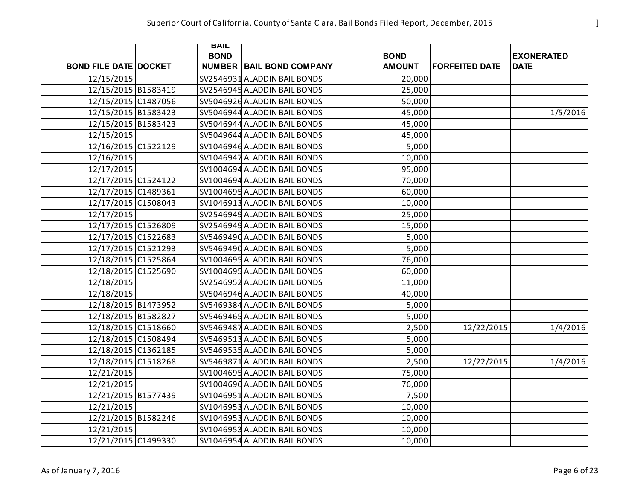|                              | BAIL        |                                 |               |                       |                   |
|------------------------------|-------------|---------------------------------|---------------|-----------------------|-------------------|
|                              | <b>BOND</b> |                                 | <b>BOND</b>   |                       | <b>EXONERATED</b> |
| <b>BOND FILE DATE DOCKET</b> |             | <b>NUMBER BAIL BOND COMPANY</b> | <b>AMOUNT</b> | <b>FORFEITED DATE</b> | <b>DATE</b>       |
| 12/15/2015                   |             | SV2546931 ALADDIN BAIL BONDS    | 20,000        |                       |                   |
| 12/15/2015 B1583419          |             | SV2546945 ALADDIN BAIL BONDS    | 25,000        |                       |                   |
| 12/15/2015 C1487056          |             | SV5046926 ALADDIN BAIL BONDS    | 50,000        |                       |                   |
| 12/15/2015 B1583423          |             | SV5046944 ALADDIN BAIL BONDS    | 45,000        |                       | 1/5/2016          |
| 12/15/2015 B1583423          |             | SV5046944 ALADDIN BAIL BONDS    | 45,000        |                       |                   |
| 12/15/2015                   |             | SV5049644 ALADDIN BAIL BONDS    | 45,000        |                       |                   |
| 12/16/2015 C1522129          |             | SV1046946 ALADDIN BAIL BONDS    | 5,000         |                       |                   |
| 12/16/2015                   |             | SV1046947 ALADDIN BAIL BONDS    | 10,000        |                       |                   |
| 12/17/2015                   |             | SV1004694 ALADDIN BAIL BONDS    | 95,000        |                       |                   |
| 12/17/2015 C1524122          |             | SV1004694 ALADDIN BAIL BONDS    | 70,000        |                       |                   |
| 12/17/2015 C1489361          |             | SV1004695 ALADDIN BAIL BONDS    | 60,000        |                       |                   |
| 12/17/2015 C1508043          |             | SV1046913 ALADDIN BAIL BONDS    | 10,000        |                       |                   |
| 12/17/2015                   |             | SV2546949 ALADDIN BAIL BONDS    | 25,000        |                       |                   |
| 12/17/2015 C1526809          |             | SV2546949 ALADDIN BAIL BONDS    | 15,000        |                       |                   |
| 12/17/2015 C1522683          |             | SV5469490 ALADDIN BAIL BONDS    | 5,000         |                       |                   |
| 12/17/2015 C1521293          |             | SV5469490 ALADDIN BAIL BONDS    | 5,000         |                       |                   |
| 12/18/2015 C1525864          |             | SV1004695 ALADDIN BAIL BONDS    | 76,000        |                       |                   |
| 12/18/2015 C1525690          |             | SV1004695 ALADDIN BAIL BONDS    | 60,000        |                       |                   |
| 12/18/2015                   |             | SV2546952 ALADDIN BAIL BONDS    | 11,000        |                       |                   |
| 12/18/2015                   |             | SV5046946 ALADDIN BAIL BONDS    | 40,000        |                       |                   |
| 12/18/2015 B1473952          |             | SV5469384 ALADDIN BAIL BONDS    | 5,000         |                       |                   |
| 12/18/2015 B1582827          |             | SV5469465 ALADDIN BAIL BONDS    | 5,000         |                       |                   |
| 12/18/2015 C1518660          |             | SV5469487 ALADDIN BAIL BONDS    | 2,500         | 12/22/2015            | 1/4/2016          |
| 12/18/2015 C1508494          |             | SV5469513 ALADDIN BAIL BONDS    | 5,000         |                       |                   |
| 12/18/2015 C1362185          |             | SV5469535 ALADDIN BAIL BONDS    | 5,000         |                       |                   |
| 12/18/2015 C1518268          |             | SV5469871 ALADDIN BAIL BONDS    | 2,500         | 12/22/2015            | 1/4/2016          |
| 12/21/2015                   |             | SV1004695 ALADDIN BAIL BONDS    | 75,000        |                       |                   |
| 12/21/2015                   |             | SV1004696 ALADDIN BAIL BONDS    | 76,000        |                       |                   |
| 12/21/2015 B1577439          |             | SV1046951 ALADDIN BAIL BONDS    | 7,500         |                       |                   |
| 12/21/2015                   |             | SV1046953 ALADDIN BAIL BONDS    | 10,000        |                       |                   |
| 12/21/2015 B1582246          |             | SV1046953 ALADDIN BAIL BONDS    | 10,000        |                       |                   |
| 12/21/2015                   |             | SV1046953 ALADDIN BAIL BONDS    | 10,000        |                       |                   |
| 12/21/2015 C1499330          |             | SV1046954 ALADDIN BAIL BONDS    | 10,000        |                       |                   |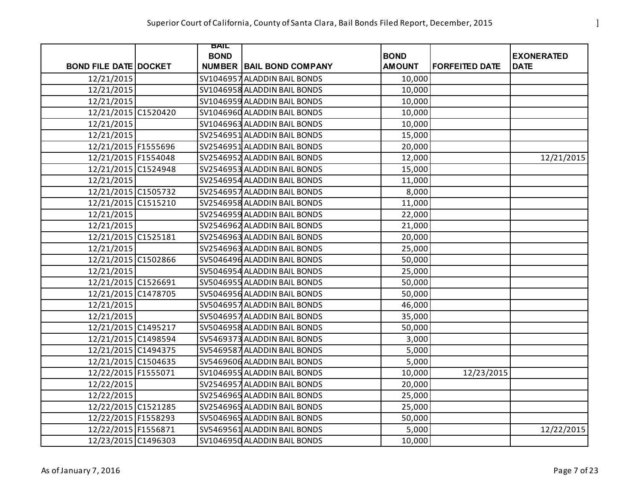|                              | BAIL        |                                 |               |                       |                   |
|------------------------------|-------------|---------------------------------|---------------|-----------------------|-------------------|
|                              | <b>BOND</b> |                                 | <b>BOND</b>   |                       | <b>EXONERATED</b> |
| <b>BOND FILE DATE DOCKET</b> |             | <b>NUMBER BAIL BOND COMPANY</b> | <b>AMOUNT</b> | <b>FORFEITED DATE</b> | <b>DATE</b>       |
| 12/21/2015                   |             | SV1046957 ALADDIN BAIL BONDS    | 10,000        |                       |                   |
| 12/21/2015                   |             | SV1046958 ALADDIN BAIL BONDS    | 10,000        |                       |                   |
| 12/21/2015                   |             | SV1046959 ALADDIN BAIL BONDS    | 10,000        |                       |                   |
| 12/21/2015 C1520420          |             | SV1046960 ALADDIN BAIL BONDS    | 10,000        |                       |                   |
| 12/21/2015                   |             | SV1046963 ALADDIN BAIL BONDS    | 10,000        |                       |                   |
| 12/21/2015                   |             | SV2546951 ALADDIN BAIL BONDS    | 15,000        |                       |                   |
| 12/21/2015 F1555696          |             | SV2546951 ALADDIN BAIL BONDS    | 20,000        |                       |                   |
| 12/21/2015 F1554048          |             | SV2546952 ALADDIN BAIL BONDS    | 12,000        |                       | 12/21/2015        |
| 12/21/2015 C1524948          |             | SV2546953 ALADDIN BAIL BONDS    | 15,000        |                       |                   |
| 12/21/2015                   |             | SV2546954 ALADDIN BAIL BONDS    | 11,000        |                       |                   |
| 12/21/2015 C1505732          |             | SV2546957 ALADDIN BAIL BONDS    | 8,000         |                       |                   |
| 12/21/2015 C1515210          |             | SV2546958 ALADDIN BAIL BONDS    | 11,000        |                       |                   |
| 12/21/2015                   |             | SV2546959 ALADDIN BAIL BONDS    | 22,000        |                       |                   |
| 12/21/2015                   |             | SV2546962 ALADDIN BAIL BONDS    | 21,000        |                       |                   |
| 12/21/2015 C1525181          |             | SV2546963 ALADDIN BAIL BONDS    | 20,000        |                       |                   |
| 12/21/2015                   |             | SV2546963 ALADDIN BAIL BONDS    | 25,000        |                       |                   |
| 12/21/2015 C1502866          |             | SV5046496 ALADDIN BAIL BONDS    | 50,000        |                       |                   |
| 12/21/2015                   |             | SV5046954 ALADDIN BAIL BONDS    | 25,000        |                       |                   |
| 12/21/2015 C1526691          |             | SV5046955 ALADDIN BAIL BONDS    | 50,000        |                       |                   |
| 12/21/2015 C1478705          |             | SV5046956 ALADDIN BAIL BONDS    | 50,000        |                       |                   |
| 12/21/2015                   |             | SV5046957 ALADDIN BAIL BONDS    | 46,000        |                       |                   |
| 12/21/2015                   |             | SV5046957 ALADDIN BAIL BONDS    | 35,000        |                       |                   |
| 12/21/2015 C1495217          |             | SV5046958 ALADDIN BAIL BONDS    | 50,000        |                       |                   |
| 12/21/2015 C1498594          |             | SV5469373 ALADDIN BAIL BONDS    | 3,000         |                       |                   |
| 12/21/2015 C1494375          |             | SV5469587 ALADDIN BAIL BONDS    | 5,000         |                       |                   |
| 12/21/2015 C1504635          |             | SV5469606 ALADDIN BAIL BONDS    | 5,000         |                       |                   |
| 12/22/2015 F1555071          |             | SV1046955 ALADDIN BAIL BONDS    | 10,000        | 12/23/2015            |                   |
| 12/22/2015                   |             | SV2546957 ALADDIN BAIL BONDS    | 20,000        |                       |                   |
| 12/22/2015                   |             | SV2546965 ALADDIN BAIL BONDS    | 25,000        |                       |                   |
| 12/22/2015 C1521285          |             | SV2546965 ALADDIN BAIL BONDS    | 25,000        |                       |                   |
| 12/22/2015 F1558293          |             | SV5046965 ALADDIN BAIL BONDS    | 50,000        |                       |                   |
| 12/22/2015 F1556871          |             | SV5469561 ALADDIN BAIL BONDS    | 5,000         |                       | 12/22/2015        |
| 12/23/2015 C1496303          |             | SV1046950 ALADDIN BAIL BONDS    | 10,000        |                       |                   |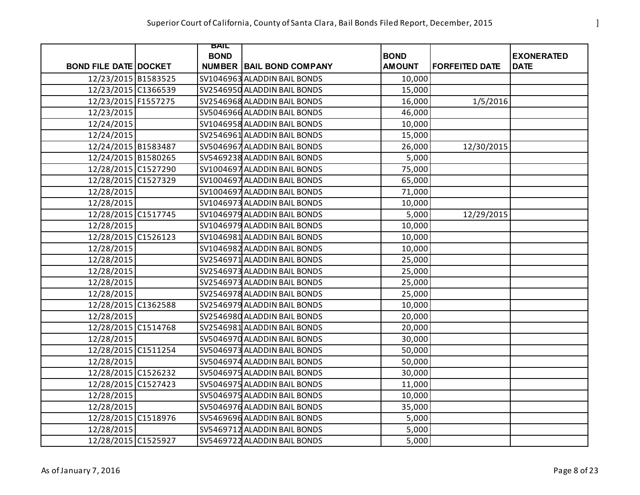|                              | BAIL        |                                 |               |                       |                   |
|------------------------------|-------------|---------------------------------|---------------|-----------------------|-------------------|
|                              | <b>BOND</b> |                                 | <b>BOND</b>   |                       | <b>EXONERATED</b> |
| <b>BOND FILE DATE DOCKET</b> |             | <b>NUMBER BAIL BOND COMPANY</b> | <b>AMOUNT</b> | <b>FORFEITED DATE</b> | <b>DATE</b>       |
| 12/23/2015 B1583525          |             | SV1046963 ALADDIN BAIL BONDS    | 10,000        |                       |                   |
| 12/23/2015 C1366539          |             | SV2546950 ALADDIN BAIL BONDS    | 15,000        |                       |                   |
| 12/23/2015 F1557275          |             | SV2546968 ALADDIN BAIL BONDS    | 16,000        | 1/5/2016              |                   |
| 12/23/2015                   |             | SV5046966 ALADDIN BAIL BONDS    | 46,000        |                       |                   |
| 12/24/2015                   |             | SV1046958 ALADDIN BAIL BONDS    | 10,000        |                       |                   |
| 12/24/2015                   |             | SV2546961 ALADDIN BAIL BONDS    | 15,000        |                       |                   |
| 12/24/2015 B1583487          |             | SV5046967 ALADDIN BAIL BONDS    | 26,000        | 12/30/2015            |                   |
| 12/24/2015 B1580265          |             | SV5469238 ALADDIN BAIL BONDS    | 5,000         |                       |                   |
| 12/28/2015 C1527290          |             | SV1004697 ALADDIN BAIL BONDS    | 75,000        |                       |                   |
| 12/28/2015 C1527329          |             | SV1004697 ALADDIN BAIL BONDS    | 65,000        |                       |                   |
| 12/28/2015                   |             | SV1004697 ALADDIN BAIL BONDS    | 71,000        |                       |                   |
| 12/28/2015                   |             | SV1046973 ALADDIN BAIL BONDS    | 10,000        |                       |                   |
| 12/28/2015 C1517745          |             | SV1046979 ALADDIN BAIL BONDS    | 5,000         | 12/29/2015            |                   |
| 12/28/2015                   |             | SV1046979 ALADDIN BAIL BONDS    | 10,000        |                       |                   |
| 12/28/2015 C1526123          |             | SV1046981 ALADDIN BAIL BONDS    | 10,000        |                       |                   |
| 12/28/2015                   |             | SV1046982 ALADDIN BAIL BONDS    | 10,000        |                       |                   |
| 12/28/2015                   |             | SV2546971 ALADDIN BAIL BONDS    | 25,000        |                       |                   |
| 12/28/2015                   |             | SV2546973 ALADDIN BAIL BONDS    | 25,000        |                       |                   |
| 12/28/2015                   |             | SV2546973 ALADDIN BAIL BONDS    | 25,000        |                       |                   |
| 12/28/2015                   |             | SV2546978 ALADDIN BAIL BONDS    | 25,000        |                       |                   |
| 12/28/2015 C1362588          |             | SV2546979 ALADDIN BAIL BONDS    | 10,000        |                       |                   |
| 12/28/2015                   |             | SV2546980 ALADDIN BAIL BONDS    | 20,000        |                       |                   |
| 12/28/2015 C1514768          |             | SV2546981 ALADDIN BAIL BONDS    | 20,000        |                       |                   |
| 12/28/2015                   |             | SV5046970 ALADDIN BAIL BONDS    | 30,000        |                       |                   |
| 12/28/2015 C1511254          |             | SV5046973 ALADDIN BAIL BONDS    | 50,000        |                       |                   |
| 12/28/2015                   |             | SV5046974 ALADDIN BAIL BONDS    | 50,000        |                       |                   |
| 12/28/2015 C1526232          |             | SV5046975 ALADDIN BAIL BONDS    | 30,000        |                       |                   |
| 12/28/2015 C1527423          |             | SV5046975 ALADDIN BAIL BONDS    | 11,000        |                       |                   |
| 12/28/2015                   |             | SV5046975 ALADDIN BAIL BONDS    | 10,000        |                       |                   |
| 12/28/2015                   |             | SV5046976 ALADDIN BAIL BONDS    | 35,000        |                       |                   |
| 12/28/2015 C1518976          |             | SV5469696 ALADDIN BAIL BONDS    | 5,000         |                       |                   |
| 12/28/2015                   |             | SV5469712 ALADDIN BAIL BONDS    | 5,000         |                       |                   |
| 12/28/2015 C1525927          |             | SV5469722 ALADDIN BAIL BONDS    | 5,000         |                       |                   |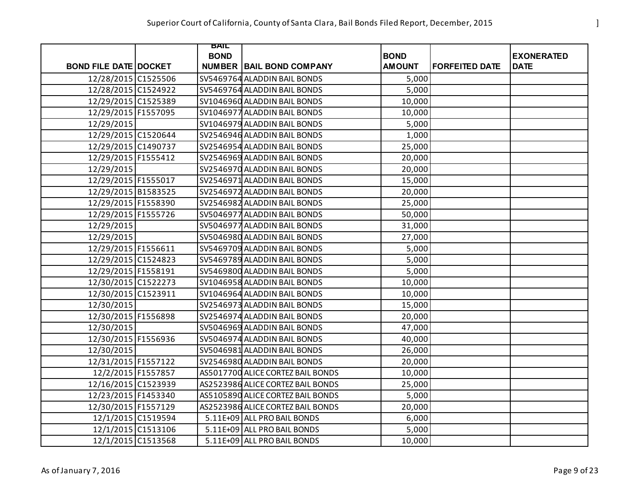|                              | BAIL        |                                   |               |                       |                   |
|------------------------------|-------------|-----------------------------------|---------------|-----------------------|-------------------|
|                              | <b>BOND</b> |                                   | <b>BOND</b>   |                       | <b>EXONERATED</b> |
| <b>BOND FILE DATE DOCKET</b> |             | <b>NUMBER BAIL BOND COMPANY</b>   | <b>AMOUNT</b> | <b>FORFEITED DATE</b> | <b>DATE</b>       |
| 12/28/2015 C1525506          |             | SV5469764 ALADDIN BAIL BONDS      | 5,000         |                       |                   |
| 12/28/2015 C1524922          |             | SV5469764 ALADDIN BAIL BONDS      | 5,000         |                       |                   |
| 12/29/2015 C1525389          |             | SV1046960 ALADDIN BAIL BONDS      | 10,000        |                       |                   |
| 12/29/2015 F1557095          |             | SV1046977 ALADDIN BAIL BONDS      | 10,000        |                       |                   |
| 12/29/2015                   |             | SV1046979 ALADDIN BAIL BONDS      | 5,000         |                       |                   |
| 12/29/2015 C1520644          |             | SV2546946 ALADDIN BAIL BONDS      | 1,000         |                       |                   |
| 12/29/2015 C1490737          |             | SV2546954 ALADDIN BAIL BONDS      | 25,000        |                       |                   |
| 12/29/2015 F1555412          |             | SV2546969 ALADDIN BAIL BONDS      | 20,000        |                       |                   |
| 12/29/2015                   |             | SV2546970 ALADDIN BAIL BONDS      | 20,000        |                       |                   |
| 12/29/2015 F1555017          |             | SV2546971 ALADDIN BAIL BONDS      | 15,000        |                       |                   |
| 12/29/2015 B1583525          |             | SV2546972 ALADDIN BAIL BONDS      | 20,000        |                       |                   |
| 12/29/2015 F1558390          |             | SV2546982 ALADDIN BAIL BONDS      | 25,000        |                       |                   |
| 12/29/2015 F1555726          |             | SV5046977 ALADDIN BAIL BONDS      | 50,000        |                       |                   |
| 12/29/2015                   |             | SV5046977 ALADDIN BAIL BONDS      | 31,000        |                       |                   |
| 12/29/2015                   |             | SV5046980 ALADDIN BAIL BONDS      | 27,000        |                       |                   |
| 12/29/2015 F1556611          |             | SV5469709 ALADDIN BAIL BONDS      | 5,000         |                       |                   |
| 12/29/2015 C1524823          |             | SV5469789 ALADDIN BAIL BONDS      | 5,000         |                       |                   |
| 12/29/2015 F1558191          |             | SV5469800 ALADDIN BAIL BONDS      | 5,000         |                       |                   |
| 12/30/2015 C1522273          |             | SV1046958 ALADDIN BAIL BONDS      | 10,000        |                       |                   |
| 12/30/2015 C1523911          |             | SV1046964 ALADDIN BAIL BONDS      | 10,000        |                       |                   |
| 12/30/2015                   |             | SV2546973 ALADDIN BAIL BONDS      | 15,000        |                       |                   |
| 12/30/2015 F1556898          |             | SV2546974 ALADDIN BAIL BONDS      | 20,000        |                       |                   |
| 12/30/2015                   |             | SV5046969 ALADDIN BAIL BONDS      | 47,000        |                       |                   |
| 12/30/2015 F1556936          |             | SV5046974 ALADDIN BAIL BONDS      | 40,000        |                       |                   |
| 12/30/2015                   |             | SV5046981 ALADDIN BAIL BONDS      | 26,000        |                       |                   |
| 12/31/2015 F1557122          |             | SV2546980 ALADDIN BAIL BONDS      | 20,000        |                       |                   |
| 12/2/2015 F1557857           |             | AS5017700 ALICE CORTEZ BAIL BONDS | 10,000        |                       |                   |
| 12/16/2015 C1523939          |             | AS2523986 ALICE CORTEZ BAIL BONDS | 25,000        |                       |                   |
| 12/23/2015 F1453340          |             | AS5105890 ALICE CORTEZ BAIL BONDS | 5,000         |                       |                   |
| 12/30/2015 F1557129          |             | AS2523986 ALICE CORTEZ BAIL BONDS | 20,000        |                       |                   |
| 12/1/2015 C1519594           |             | 5.11E+09 ALL PRO BAIL BONDS       | 6,000         |                       |                   |
| 12/1/2015 C1513106           |             | 5.11E+09 ALL PRO BAIL BONDS       | 5,000         |                       |                   |
| 12/1/2015 C1513568           |             | 5.11E+09 ALL PRO BAIL BONDS       | 10,000        |                       |                   |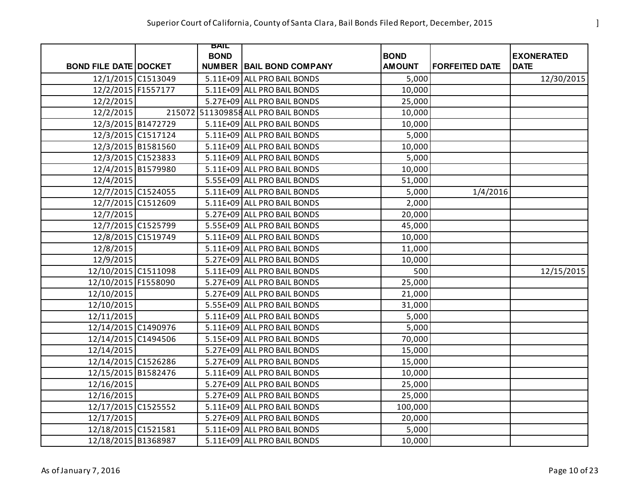|                              | BAIL        |                                     |               |                       |                   |
|------------------------------|-------------|-------------------------------------|---------------|-----------------------|-------------------|
|                              | <b>BOND</b> |                                     | <b>BOND</b>   |                       | <b>EXONERATED</b> |
| <b>BOND FILE DATE DOCKET</b> |             | <b>NUMBER BAIL BOND COMPANY</b>     | <b>AMOUNT</b> | <b>FORFEITED DATE</b> | <b>DATE</b>       |
| 12/1/2015 C1513049           |             | 5.11E+09 ALL PRO BAIL BONDS         | 5,000         |                       | 12/30/2015        |
| 12/2/2015 F1557177           |             | 5.11E+09 ALL PRO BAIL BONDS         | 10,000        |                       |                   |
| 12/2/2015                    |             | 5.27E+09 ALL PRO BAIL BONDS         | 25,000        |                       |                   |
| 12/2/2015                    |             | 215072 511309858 ALL PRO BAIL BONDS | 10,000        |                       |                   |
| 12/3/2015 B1472729           |             | 5.11E+09 ALL PRO BAIL BONDS         | 10,000        |                       |                   |
| 12/3/2015 C1517124           |             | 5.11E+09 ALL PRO BAIL BONDS         | 5,000         |                       |                   |
| 12/3/2015 B1581560           |             | 5.11E+09 ALL PRO BAIL BONDS         | 10,000        |                       |                   |
| 12/3/2015 C1523833           |             | 5.11E+09 ALL PRO BAIL BONDS         | 5,000         |                       |                   |
| 12/4/2015 B1579980           |             | 5.11E+09 ALL PRO BAIL BONDS         | 10,000        |                       |                   |
| 12/4/2015                    |             | 5.55E+09 ALL PRO BAIL BONDS         | 51,000        |                       |                   |
| 12/7/2015 C1524055           |             | 5.11E+09 ALL PRO BAIL BONDS         | 5,000         | 1/4/2016              |                   |
| 12/7/2015 C1512609           |             | 5.11E+09 ALL PRO BAIL BONDS         | 2,000         |                       |                   |
| 12/7/2015                    |             | 5.27E+09 ALL PRO BAIL BONDS         | 20,000        |                       |                   |
| 12/7/2015 C1525799           |             | 5.55E+09 ALL PRO BAIL BONDS         | 45,000        |                       |                   |
| 12/8/2015 C1519749           |             | 5.11E+09 ALL PRO BAIL BONDS         | 10,000        |                       |                   |
| 12/8/2015                    |             | 5.11E+09 ALL PRO BAIL BONDS         | 11,000        |                       |                   |
| 12/9/2015                    |             | 5.27E+09 ALL PRO BAIL BONDS         | 10,000        |                       |                   |
| 12/10/2015 C1511098          |             | 5.11E+09 ALL PRO BAIL BONDS         | 500           |                       | 12/15/2015        |
| 12/10/2015 F1558090          |             | 5.27E+09 ALL PRO BAIL BONDS         | 25,000        |                       |                   |
| 12/10/2015                   |             | 5.27E+09 ALL PRO BAIL BONDS         | 21,000        |                       |                   |
| 12/10/2015                   |             | 5.55E+09 ALL PRO BAIL BONDS         | 31,000        |                       |                   |
| 12/11/2015                   |             | 5.11E+09 ALL PRO BAIL BONDS         | 5,000         |                       |                   |
| 12/14/2015 C1490976          |             | 5.11E+09 ALL PRO BAIL BONDS         | 5,000         |                       |                   |
| 12/14/2015 C1494506          |             | 5.15E+09 ALL PRO BAIL BONDS         | 70,000        |                       |                   |
| 12/14/2015                   |             | 5.27E+09 ALL PRO BAIL BONDS         | 15,000        |                       |                   |
| 12/14/2015 C1526286          |             | 5.27E+09 ALL PRO BAIL BONDS         | 15,000        |                       |                   |
| 12/15/2015 B1582476          |             | 5.11E+09 ALL PRO BAIL BONDS         | 10,000        |                       |                   |
| 12/16/2015                   |             | 5.27E+09 ALL PRO BAIL BONDS         | 25,000        |                       |                   |
| 12/16/2015                   |             | 5.27E+09 ALL PRO BAIL BONDS         | 25,000        |                       |                   |
| 12/17/2015 C1525552          |             | 5.11E+09 ALL PRO BAIL BONDS         | 100,000       |                       |                   |
| 12/17/2015                   |             | 5.27E+09 ALL PRO BAIL BONDS         | 20,000        |                       |                   |
| 12/18/2015 C1521581          |             | 5.11E+09 ALL PRO BAIL BONDS         | 5,000         |                       |                   |
| 12/18/2015 B1368987          |             | 5.11E+09 ALL PRO BAIL BONDS         | 10,000        |                       |                   |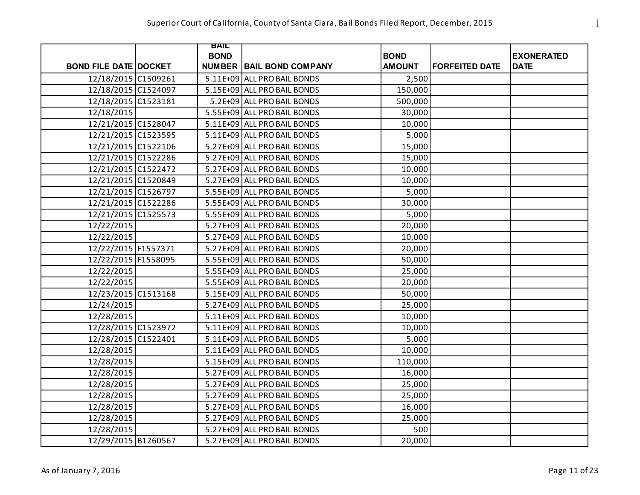|                              | BAIL        |                                 |                              |                       |                                  |
|------------------------------|-------------|---------------------------------|------------------------------|-----------------------|----------------------------------|
| <b>BOND FILE DATE DOCKET</b> | <b>BOND</b> | <b>NUMBER BAIL BOND COMPANY</b> | <b>BOND</b><br><b>AMOUNT</b> | <b>FORFEITED DATE</b> | <b>EXONERATED</b><br><b>DATE</b> |
| 12/18/2015 C1509261          |             | 5.11E+09 ALL PRO BAIL BONDS     | 2,500                        |                       |                                  |
| 12/18/2015 C1524097          |             | 5.15E+09 ALL PRO BAIL BONDS     | 150,000                      |                       |                                  |
| 12/18/2015 C1523181          |             | 5.2E+09 ALL PRO BAIL BONDS      | 500,000                      |                       |                                  |
| 12/18/2015                   |             | 5.55E+09 ALL PRO BAIL BONDS     | 30,000                       |                       |                                  |
|                              |             | 5.11E+09 ALL PRO BAIL BONDS     |                              |                       |                                  |
| 12/21/2015 C1528047          |             |                                 | 10,000                       |                       |                                  |
| 12/21/2015 C1523595          |             | 5.11E+09 ALL PRO BAIL BONDS     | 5,000                        |                       |                                  |
| 12/21/2015 C1522106          |             | 5.27E+09 ALL PRO BAIL BONDS     | 15,000                       |                       |                                  |
| 12/21/2015 C1522286          |             | 5.27E+09 ALL PRO BAIL BONDS     | 15,000                       |                       |                                  |
| 12/21/2015 C1522472          |             | 5.27E+09 ALL PRO BAIL BONDS     | 10,000                       |                       |                                  |
| 12/21/2015 C1520849          |             | 5.27E+09 ALL PRO BAIL BONDS     | 10,000                       |                       |                                  |
| 12/21/2015 C1526797          |             | 5.55E+09 ALL PRO BAIL BONDS     | 5,000                        |                       |                                  |
| 12/21/2015 C1522286          |             | 5.55E+09 ALL PRO BAIL BONDS     | 30,000                       |                       |                                  |
| 12/21/2015 C1525573          |             | 5.55E+09 ALL PRO BAIL BONDS     | 5,000                        |                       |                                  |
| 12/22/2015                   |             | 5.27E+09 ALL PRO BAIL BONDS     | 20,000                       |                       |                                  |
| 12/22/2015                   |             | 5.27E+09 ALL PRO BAIL BONDS     | 10,000                       |                       |                                  |
| 12/22/2015 F1557371          |             | 5.27E+09 ALL PRO BAIL BONDS     | 20,000                       |                       |                                  |
| 12/22/2015 F1558095          |             | 5.55E+09 ALL PRO BAIL BONDS     | 50,000                       |                       |                                  |
| 12/22/2015                   |             | 5.55E+09 ALL PRO BAIL BONDS     | 25,000                       |                       |                                  |
| 12/22/2015                   |             | 5.55E+09 ALL PRO BAIL BONDS     | 20,000                       |                       |                                  |
| 12/23/2015 C1513168          |             | 5.15E+09 ALL PRO BAIL BONDS     | 50,000                       |                       |                                  |
| 12/24/2015                   |             | 5.27E+09 ALL PRO BAIL BONDS     | 25,000                       |                       |                                  |
| 12/28/2015                   |             | 5.11E+09 ALL PRO BAIL BONDS     | 10,000                       |                       |                                  |
| 12/28/2015 C1523972          |             | 5.11E+09 ALL PRO BAIL BONDS     | 10,000                       |                       |                                  |
| 12/28/2015 C1522401          |             | 5.11E+09 ALL PRO BAIL BONDS     | 5,000                        |                       |                                  |
| 12/28/2015                   |             | 5.11E+09 ALL PRO BAIL BONDS     | 10,000                       |                       |                                  |
| 12/28/2015                   |             | 5.15E+09 ALL PRO BAIL BONDS     | 110,000                      |                       |                                  |
| 12/28/2015                   |             | 5.27E+09 ALL PRO BAIL BONDS     | 16,000                       |                       |                                  |
| 12/28/2015                   |             | 5.27E+09 ALL PRO BAIL BONDS     | 25,000                       |                       |                                  |
| 12/28/2015                   |             | 5.27E+09 ALL PRO BAIL BONDS     | 25,000                       |                       |                                  |
| 12/28/2015                   |             | 5.27E+09 ALL PRO BAIL BONDS     | 16,000                       |                       |                                  |
| 12/28/2015                   |             | 5.27E+09 ALL PRO BAIL BONDS     | 25,000                       |                       |                                  |
| 12/28/2015                   |             | 5.27E+09 ALL PRO BAIL BONDS     | 500                          |                       |                                  |
| 12/29/2015 B1260567          |             | 5.27E+09 ALL PRO BAIL BONDS     | 20,000                       |                       |                                  |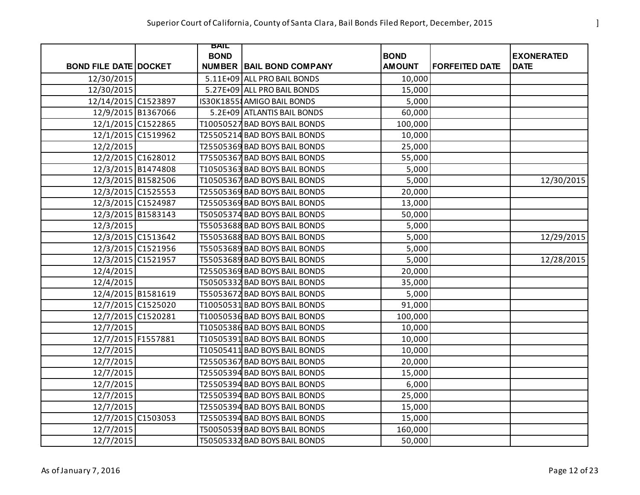|                              | BAIL        |                                 |               |                       |                   |
|------------------------------|-------------|---------------------------------|---------------|-----------------------|-------------------|
|                              | <b>BOND</b> |                                 | <b>BOND</b>   |                       | <b>EXONERATED</b> |
| <b>BOND FILE DATE DOCKET</b> |             | <b>NUMBER BAIL BOND COMPANY</b> | <b>AMOUNT</b> | <b>FORFEITED DATE</b> | <b>DATE</b>       |
| 12/30/2015                   |             | 5.11E+09 ALL PRO BAIL BONDS     | 10,000        |                       |                   |
| 12/30/2015                   |             | 5.27E+09 ALL PRO BAIL BONDS     | 15,000        |                       |                   |
| 12/14/2015 C1523897          |             | IS30K18558 AMIGO BAIL BONDS     | 5,000         |                       |                   |
| 12/9/2015 B1367066           |             | 5.2E+09 ATLANTIS BAIL BONDS     | 60,000        |                       |                   |
| 12/1/2015 C1522865           |             | T10050527 BAD BOYS BAIL BONDS   | 100,000       |                       |                   |
| 12/1/2015 C1519962           |             | T25505214 BAD BOYS BAIL BONDS   | 10,000        |                       |                   |
| 12/2/2015                    |             | T25505369 BAD BOYS BAIL BONDS   | 25,000        |                       |                   |
| 12/2/2015 C1628012           |             | T75505367 BAD BOYS BAIL BONDS   | 55,000        |                       |                   |
| 12/3/2015 B1474808           |             | T10505363 BAD BOYS BAIL BONDS   | 5,000         |                       |                   |
| 12/3/2015 B1582506           |             | T10505367 BAD BOYS BAIL BONDS   | 5,000         |                       | 12/30/2015        |
| 12/3/2015 C1525553           |             | T25505369 BAD BOYS BAIL BONDS   | 20,000        |                       |                   |
| 12/3/2015 C1524987           |             | T25505369 BAD BOYS BAIL BONDS   | 13,000        |                       |                   |
| 12/3/2015 B1583143           |             | T50505374 BAD BOYS BAIL BONDS   | 50,000        |                       |                   |
| 12/3/2015                    |             | T55053688 BAD BOYS BAIL BONDS   | 5,000         |                       |                   |
| 12/3/2015 C1513642           |             | T55053688 BAD BOYS BAIL BONDS   | 5,000         |                       | 12/29/2015        |
| 12/3/2015 C1521956           |             | T55053689 BAD BOYS BAIL BONDS   | 5,000         |                       |                   |
| 12/3/2015 C1521957           |             | T55053689 BAD BOYS BAIL BONDS   | 5,000         |                       | 12/28/2015        |
| 12/4/2015                    |             | T25505369 BAD BOYS BAIL BONDS   | 20,000        |                       |                   |
| 12/4/2015                    |             | T50505332 BAD BOYS BAIL BONDS   | 35,000        |                       |                   |
| 12/4/2015 B1581619           |             | T55053672 BAD BOYS BAIL BONDS   | 5,000         |                       |                   |
| 12/7/2015 C1525020           |             | T10050531 BAD BOYS BAIL BONDS   | 91,000        |                       |                   |
| 12/7/2015 C1520281           |             | T10050536 BAD BOYS BAIL BONDS   | 100,000       |                       |                   |
| 12/7/2015                    |             | T10505386 BAD BOYS BAIL BONDS   | 10,000        |                       |                   |
| 12/7/2015 F1557881           |             | T10505391 BAD BOYS BAIL BONDS   | 10,000        |                       |                   |
| 12/7/2015                    |             | T10505411 BAD BOYS BAIL BONDS   | 10,000        |                       |                   |
| 12/7/2015                    |             | T25505367 BAD BOYS BAIL BONDS   | 20,000        |                       |                   |
| 12/7/2015                    |             | T25505394 BAD BOYS BAIL BONDS   | 15,000        |                       |                   |
| 12/7/2015                    |             | T25505394 BAD BOYS BAIL BONDS   | 6,000         |                       |                   |
| 12/7/2015                    |             | T25505394 BAD BOYS BAIL BONDS   | 25,000        |                       |                   |
| 12/7/2015                    |             | T25505394 BAD BOYS BAIL BONDS   | 15,000        |                       |                   |
| 12/7/2015 C1503053           |             | T25505394 BAD BOYS BAIL BONDS   | 15,000        |                       |                   |
| 12/7/2015                    |             | T50050539 BAD BOYS BAIL BONDS   | 160,000       |                       |                   |
| 12/7/2015                    |             | T50505332 BAD BOYS BAIL BONDS   | 50,000        |                       |                   |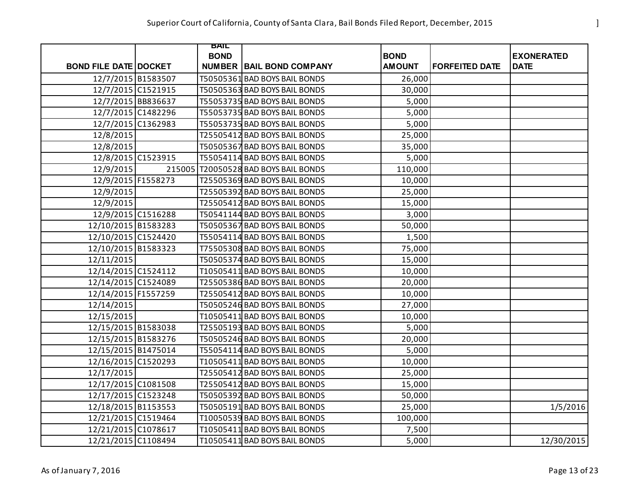|                              | BAIL        |                                      |               |                       |                   |
|------------------------------|-------------|--------------------------------------|---------------|-----------------------|-------------------|
|                              | <b>BOND</b> |                                      | <b>BOND</b>   |                       | <b>EXONERATED</b> |
| <b>BOND FILE DATE DOCKET</b> |             | <b>NUMBER BAIL BOND COMPANY</b>      | <b>AMOUNT</b> | <b>FORFEITED DATE</b> | <b>DATE</b>       |
| 12/7/2015 B1583507           |             | T50505361 BAD BOYS BAIL BONDS        | 26,000        |                       |                   |
| 12/7/2015 C1521915           |             | T50505363 BAD BOYS BAIL BONDS        | 30,000        |                       |                   |
| 12/7/2015 BB836637           |             | T55053735 BAD BOYS BAIL BONDS        | 5,000         |                       |                   |
| 12/7/2015 C1482296           |             | T55053735 BAD BOYS BAIL BONDS        | 5,000         |                       |                   |
| 12/7/2015 C1362983           |             | T55053735 BAD BOYS BAIL BONDS        | 5,000         |                       |                   |
| 12/8/2015                    |             | T25505412 BAD BOYS BAIL BONDS        | 25,000        |                       |                   |
| 12/8/2015                    |             | T50505367 BAD BOYS BAIL BONDS        | 35,000        |                       |                   |
| 12/8/2015 C1523915           |             | T55054114 BAD BOYS BAIL BONDS        | 5,000         |                       |                   |
| 12/9/2015                    |             | 215005 T20050528 BAD BOYS BAIL BONDS | 110,000       |                       |                   |
| 12/9/2015 F1558273           |             | T25505369 BAD BOYS BAIL BONDS        | 10,000        |                       |                   |
| 12/9/2015                    |             | T25505392 BAD BOYS BAIL BONDS        | 25,000        |                       |                   |
| 12/9/2015                    |             | T25505412 BAD BOYS BAIL BONDS        | 15,000        |                       |                   |
| 12/9/2015 C1516288           |             | T50541144 BAD BOYS BAIL BONDS        | 3,000         |                       |                   |
| 12/10/2015 B1583283          |             | T50505367 BAD BOYS BAIL BONDS        | 50,000        |                       |                   |
| 12/10/2015 C1524420          |             | T55054114 BAD BOYS BAIL BONDS        | 1,500         |                       |                   |
| 12/10/2015 B1583323          |             | T75505308 BAD BOYS BAIL BONDS        | 75,000        |                       |                   |
| 12/11/2015                   |             | T50505374 BAD BOYS BAIL BONDS        | 15,000        |                       |                   |
| 12/14/2015 C1524112          |             | T10505411 BAD BOYS BAIL BONDS        | 10,000        |                       |                   |
| 12/14/2015 C1524089          |             | T25505386 BAD BOYS BAIL BONDS        | 20,000        |                       |                   |
| 12/14/2015 F1557259          |             | T25505412 BAD BOYS BAIL BONDS        | 10,000        |                       |                   |
| 12/14/2015                   |             | T50505246 BAD BOYS BAIL BONDS        | 27,000        |                       |                   |
| 12/15/2015                   |             | T10505411 BAD BOYS BAIL BONDS        | 10,000        |                       |                   |
| 12/15/2015 B1583038          |             | T25505193 BAD BOYS BAIL BONDS        | 5,000         |                       |                   |
| 12/15/2015 B1583276          |             | T50505246 BAD BOYS BAIL BONDS        | 20,000        |                       |                   |
| 12/15/2015 B1475014          |             | T55054114 BAD BOYS BAIL BONDS        | 5,000         |                       |                   |
| 12/16/2015 C1520293          |             | T10505411 BAD BOYS BAIL BONDS        | 10,000        |                       |                   |
| 12/17/2015                   |             | T25505412 BAD BOYS BAIL BONDS        | 25,000        |                       |                   |
| 12/17/2015 C1081508          |             | T25505412 BAD BOYS BAIL BONDS        | 15,000        |                       |                   |
| 12/17/2015 C1523248          |             | T50505392 BAD BOYS BAIL BONDS        | 50,000        |                       |                   |
| 12/18/2015 B1153553          |             | T50505191 BAD BOYS BAIL BONDS        | 25,000        |                       | 1/5/2016          |
| 12/21/2015 C1519464          |             | T10050539 BAD BOYS BAIL BONDS        | 100,000       |                       |                   |
| 12/21/2015 C1078617          |             | T10505411 BAD BOYS BAIL BONDS        | 7,500         |                       |                   |
| 12/21/2015 C1108494          |             | T10505411 BAD BOYS BAIL BONDS        | 5,000         |                       | 12/30/2015        |

As of January 7, 2016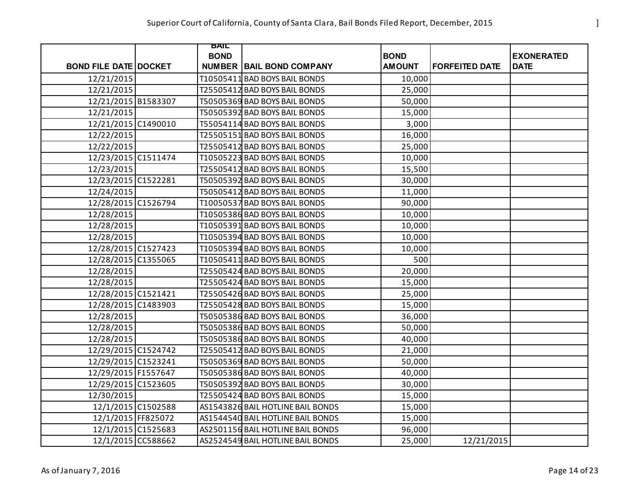|                              | <b>BAIL</b> |                                   |               |                       |                   |
|------------------------------|-------------|-----------------------------------|---------------|-----------------------|-------------------|
|                              | <b>BOND</b> |                                   | <b>BOND</b>   |                       | <b>EXONERATED</b> |
| <b>BOND FILE DATE DOCKET</b> |             | <b>NUMBER BAIL BOND COMPANY</b>   | <b>AMOUNT</b> | <b>FORFEITED DATE</b> | <b>DATE</b>       |
| 12/21/2015                   |             | T10505411 BAD BOYS BAIL BONDS     | 10,000        |                       |                   |
| 12/21/2015                   |             | T25505412 BAD BOYS BAIL BONDS     | 25,000        |                       |                   |
| 12/21/2015 B1583307          |             | T50505369 BAD BOYS BAIL BONDS     | 50,000        |                       |                   |
| 12/21/2015                   |             | T50505392 BAD BOYS BAIL BONDS     | 15,000        |                       |                   |
| 12/21/2015 C1490010          |             | T55054114 BAD BOYS BAIL BONDS     | 3,000         |                       |                   |
| 12/22/2015                   |             | T25505151 BAD BOYS BAIL BONDS     | 16,000        |                       |                   |
| 12/22/2015                   |             | T25505412 BAD BOYS BAIL BONDS     | 25,000        |                       |                   |
| 12/23/2015 C1511474          |             | T10505223 BAD BOYS BAIL BONDS     | 10,000        |                       |                   |
| 12/23/2015                   |             | T25505412 BAD BOYS BAIL BONDS     | 15,500        |                       |                   |
| 12/23/2015 C1522281          |             | T50505392 BAD BOYS BAIL BONDS     | 30,000        |                       |                   |
| 12/24/2015                   |             | T50505412 BAD BOYS BAIL BONDS     | 11,000        |                       |                   |
| 12/28/2015 C1526794          |             | T10050537 BAD BOYS BAIL BONDS     | 90,000        |                       |                   |
| 12/28/2015                   |             | T10505386 BAD BOYS BAIL BONDS     | 10,000        |                       |                   |
| 12/28/2015                   |             | T10505391 BAD BOYS BAIL BONDS     | 10,000        |                       |                   |
| 12/28/2015                   |             | T10505394 BAD BOYS BAIL BONDS     | 10,000        |                       |                   |
| 12/28/2015 C1527423          |             | T10505394 BAD BOYS BAIL BONDS     | 10,000        |                       |                   |
| 12/28/2015 C1355065          |             | T10505411 BAD BOYS BAIL BONDS     | 500           |                       |                   |
| 12/28/2015                   |             | T25505424 BAD BOYS BAIL BONDS     | 20,000        |                       |                   |
| 12/28/2015                   |             | T25505424 BAD BOYS BAIL BONDS     | 15,000        |                       |                   |
| 12/28/2015 C1521421          |             | T25505426 BAD BOYS BAIL BONDS     | 25,000        |                       |                   |
| 12/28/2015 C1483903          |             | T25505428 BAD BOYS BAIL BONDS     | 15,000        |                       |                   |
| 12/28/2015                   |             | T50505386 BAD BOYS BAIL BONDS     | 36,000        |                       |                   |
| 12/28/2015                   |             | T50505386 BAD BOYS BAIL BONDS     | 50,000        |                       |                   |
| 12/28/2015                   |             | T50505386 BAD BOYS BAIL BONDS     | 40,000        |                       |                   |
| 12/29/2015 C1524742          |             | T25505412 BAD BOYS BAIL BONDS     | 21,000        |                       |                   |
| 12/29/2015 C1523241          |             | T50505369 BAD BOYS BAIL BONDS     | 50,000        |                       |                   |
| 12/29/2015 F1557647          |             | T50505386 BAD BOYS BAIL BONDS     | 40,000        |                       |                   |
| 12/29/2015 C1523605          |             | T50505392 BAD BOYS BAIL BONDS     | 30,000        |                       |                   |
| 12/30/2015                   |             | T25505424 BAD BOYS BAIL BONDS     | 15,000        |                       |                   |
| 12/1/2015 C1502588           |             | AS1543826 BAIL HOTLINE BAIL BONDS | 15,000        |                       |                   |
| 12/1/2015 FF825072           |             | AS1544540 BAIL HOTLINE BAIL BONDS | 15,000        |                       |                   |
| 12/1/2015 C1525683           |             | AS2501156 BAIL HOTLINE BAIL BONDS | 96,000        |                       |                   |
| 12/1/2015 CC588662           |             | AS2524549 BAIL HOTLINE BAIL BONDS | 25,000        | 12/21/2015            |                   |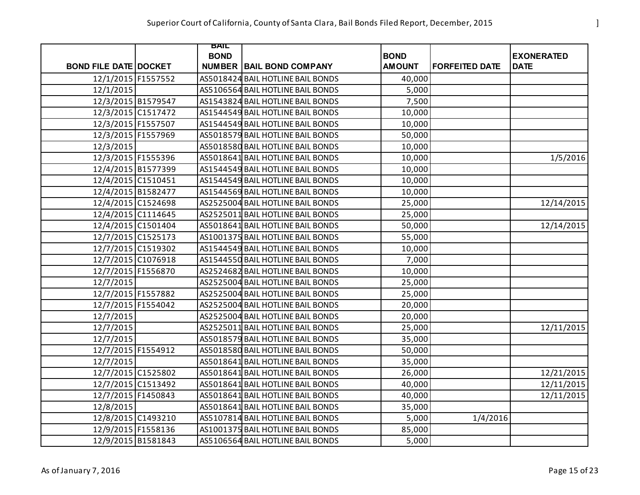|                              | BAIL        |                                   |               |                       |                   |
|------------------------------|-------------|-----------------------------------|---------------|-----------------------|-------------------|
|                              | <b>BOND</b> |                                   | <b>BOND</b>   |                       | <b>EXONERATED</b> |
| <b>BOND FILE DATE DOCKET</b> |             | <b>NUMBER BAIL BOND COMPANY</b>   | <b>AMOUNT</b> | <b>FORFEITED DATE</b> | <b>DATE</b>       |
| 12/1/2015 F1557552           |             | AS5018424 BAIL HOTLINE BAIL BONDS | 40,000        |                       |                   |
| 12/1/2015                    |             | AS5106564 BAIL HOTLINE BAIL BONDS | 5,000         |                       |                   |
| 12/3/2015 B1579547           |             | AS1543824 BAIL HOTLINE BAIL BONDS | 7,500         |                       |                   |
| 12/3/2015 C1517472           |             | AS1544549 BAIL HOTLINE BAIL BONDS | 10,000        |                       |                   |
| 12/3/2015 F1557507           |             | AS1544549 BAIL HOTLINE BAIL BONDS | 10,000        |                       |                   |
| 12/3/2015 F1557969           |             | AS5018579 BAIL HOTLINE BAIL BONDS | 50,000        |                       |                   |
| 12/3/2015                    |             | AS5018580 BAIL HOTLINE BAIL BONDS | 10,000        |                       |                   |
| 12/3/2015 F1555396           |             | AS5018641 BAIL HOTLINE BAIL BONDS | 10,000        |                       | 1/5/2016          |
| 12/4/2015 B1577399           |             | AS1544549 BAIL HOTLINE BAIL BONDS | 10,000        |                       |                   |
| 12/4/2015 C1510451           |             | AS1544549 BAIL HOTLINE BAIL BONDS | 10,000        |                       |                   |
| 12/4/2015 B1582477           |             | AS1544569 BAIL HOTLINE BAIL BONDS | 10,000        |                       |                   |
| 12/4/2015 C1524698           |             | AS2525004 BAIL HOTLINE BAIL BONDS | 25,000        |                       | 12/14/2015        |
| 12/4/2015 C1114645           |             | AS2525011 BAIL HOTLINE BAIL BONDS | 25,000        |                       |                   |
| 12/4/2015 C1501404           |             | AS5018641 BAIL HOTLINE BAIL BONDS | 50,000        |                       | 12/14/2015        |
| 12/7/2015 C1525173           |             | AS1001375 BAIL HOTLINE BAIL BONDS | 55,000        |                       |                   |
| 12/7/2015 C1519302           |             | AS1544549 BAIL HOTLINE BAIL BONDS | 10,000        |                       |                   |
| 12/7/2015 C1076918           |             | AS1544550 BAIL HOTLINE BAIL BONDS | 7,000         |                       |                   |
| 12/7/2015 F1556870           |             | AS2524682 BAIL HOTLINE BAIL BONDS | 10,000        |                       |                   |
| 12/7/2015                    |             | AS2525004 BAIL HOTLINE BAIL BONDS | 25,000        |                       |                   |
| 12/7/2015 F1557882           |             | AS2525004 BAIL HOTLINE BAIL BONDS | 25,000        |                       |                   |
| 12/7/2015 F1554042           |             | AS2525004 BAIL HOTLINE BAIL BONDS | 20,000        |                       |                   |
| 12/7/2015                    |             | AS2525004 BAIL HOTLINE BAIL BONDS | 20,000        |                       |                   |
| 12/7/2015                    |             | AS2525011 BAIL HOTLINE BAIL BONDS | 25,000        |                       | 12/11/2015        |
| 12/7/2015                    |             | AS5018579 BAIL HOTLINE BAIL BONDS | 35,000        |                       |                   |
| 12/7/2015 F1554912           |             | AS5018580 BAIL HOTLINE BAIL BONDS | 50,000        |                       |                   |
| 12/7/2015                    |             | AS5018641 BAIL HOTLINE BAIL BONDS | 35,000        |                       |                   |
| 12/7/2015 C1525802           |             | AS5018641 BAIL HOTLINE BAIL BONDS | 26,000        |                       | 12/21/2015        |
| 12/7/2015 C1513492           |             | AS5018641 BAIL HOTLINE BAIL BONDS | 40,000        |                       | 12/11/2015        |
| 12/7/2015 F1450843           |             | AS5018641 BAIL HOTLINE BAIL BONDS | 40,000        |                       | 12/11/2015        |
| 12/8/2015                    |             | AS5018641 BAIL HOTLINE BAIL BONDS | 35,000        |                       |                   |
| 12/8/2015 C1493210           |             | AS5107814 BAIL HOTLINE BAIL BONDS | 5,000         | 1/4/2016              |                   |
| 12/9/2015 F1558136           |             | AS1001375 BAIL HOTLINE BAIL BONDS | 85,000        |                       |                   |
| 12/9/2015 B1581843           |             | AS5106564 BAIL HOTLINE BAIL BONDS | 5,000         |                       |                   |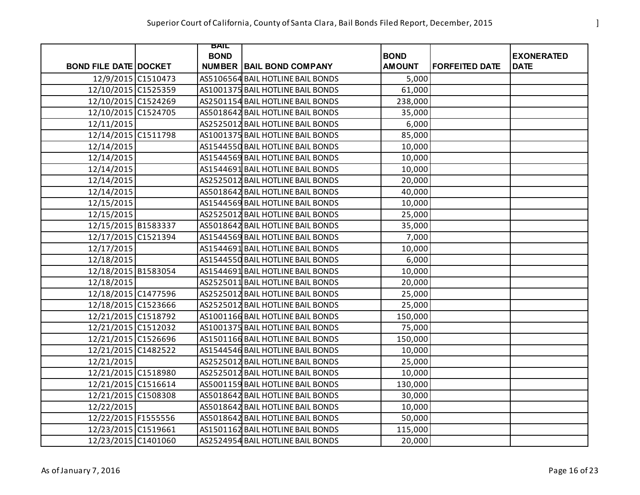|                              | BAIL        |                                   |               |                       |                   |
|------------------------------|-------------|-----------------------------------|---------------|-----------------------|-------------------|
|                              | <b>BOND</b> |                                   | <b>BOND</b>   |                       | <b>EXONERATED</b> |
| <b>BOND FILE DATE DOCKET</b> |             | <b>NUMBER BAIL BOND COMPANY</b>   | <b>AMOUNT</b> | <b>FORFEITED DATE</b> | <b>DATE</b>       |
| 12/9/2015 C1510473           |             | AS5106564 BAIL HOTLINE BAIL BONDS | 5,000         |                       |                   |
| 12/10/2015 C1525359          |             | AS1001375 BAIL HOTLINE BAIL BONDS | 61,000        |                       |                   |
| 12/10/2015 C1524269          |             | AS2501154 BAIL HOTLINE BAIL BONDS | 238,000       |                       |                   |
| 12/10/2015 C1524705          |             | AS5018642 BAIL HOTLINE BAIL BONDS | 35,000        |                       |                   |
| 12/11/2015                   |             | AS2525012 BAIL HOTLINE BAIL BONDS | 6,000         |                       |                   |
| 12/14/2015 C1511798          |             | AS1001375 BAIL HOTLINE BAIL BONDS | 85,000        |                       |                   |
| 12/14/2015                   |             | AS1544550 BAIL HOTLINE BAIL BONDS | 10,000        |                       |                   |
| 12/14/2015                   |             | AS1544569 BAIL HOTLINE BAIL BONDS | 10,000        |                       |                   |
| 12/14/2015                   |             | AS1544691 BAIL HOTLINE BAIL BONDS | 10,000        |                       |                   |
| 12/14/2015                   |             | AS2525012 BAIL HOTLINE BAIL BONDS | 20,000        |                       |                   |
| 12/14/2015                   |             | AS5018642 BAIL HOTLINE BAIL BONDS | 40,000        |                       |                   |
| 12/15/2015                   |             | AS1544569 BAIL HOTLINE BAIL BONDS | 10,000        |                       |                   |
| 12/15/2015                   |             | AS2525012 BAIL HOTLINE BAIL BONDS | 25,000        |                       |                   |
| 12/15/2015 B1583337          |             | AS5018642 BAIL HOTLINE BAIL BONDS | 35,000        |                       |                   |
| 12/17/2015 C1521394          |             | AS1544569 BAIL HOTLINE BAIL BONDS | 7,000         |                       |                   |
| 12/17/2015                   |             | AS1544691 BAIL HOTLINE BAIL BONDS | 10,000        |                       |                   |
| 12/18/2015                   |             | AS1544550 BAIL HOTLINE BAIL BONDS | 6,000         |                       |                   |
| 12/18/2015 B1583054          |             | AS1544691 BAIL HOTLINE BAIL BONDS | 10,000        |                       |                   |
| 12/18/2015                   |             | AS2525011 BAIL HOTLINE BAIL BONDS | 20,000        |                       |                   |
| 12/18/2015 C1477596          |             | AS2525012 BAIL HOTLINE BAIL BONDS | 25,000        |                       |                   |
| 12/18/2015 C1523666          |             | AS2525012 BAIL HOTLINE BAIL BONDS | 25,000        |                       |                   |
| 12/21/2015 C1518792          |             | AS1001166 BAIL HOTLINE BAIL BONDS | 150,000       |                       |                   |
| 12/21/2015 C1512032          |             | AS1001375 BAIL HOTLINE BAIL BONDS | 75,000        |                       |                   |
| 12/21/2015 C1526696          |             | AS1501166 BAIL HOTLINE BAIL BONDS | 150,000       |                       |                   |
| 12/21/2015 C1482522          |             | AS1544546 BAIL HOTLINE BAIL BONDS | 10,000        |                       |                   |
| 12/21/2015                   |             | AS2525012 BAIL HOTLINE BAIL BONDS | 25,000        |                       |                   |
| 12/21/2015 C1518980          |             | AS2525012 BAIL HOTLINE BAIL BONDS | 10,000        |                       |                   |
| 12/21/2015 C1516614          |             | AS5001159 BAIL HOTLINE BAIL BONDS | 130,000       |                       |                   |
| 12/21/2015 C1508308          |             | AS5018642 BAIL HOTLINE BAIL BONDS | 30,000        |                       |                   |
| 12/22/2015                   |             | AS5018642 BAIL HOTLINE BAIL BONDS | 10,000        |                       |                   |
| 12/22/2015 F1555556          |             | AS5018642 BAIL HOTLINE BAIL BONDS | 50,000        |                       |                   |
| 12/23/2015 C1519661          |             | AS1501162 BAIL HOTLINE BAIL BONDS | 115,000       |                       |                   |
| 12/23/2015 C1401060          |             | AS2524954 BAIL HOTLINE BAIL BONDS | 20,000        |                       |                   |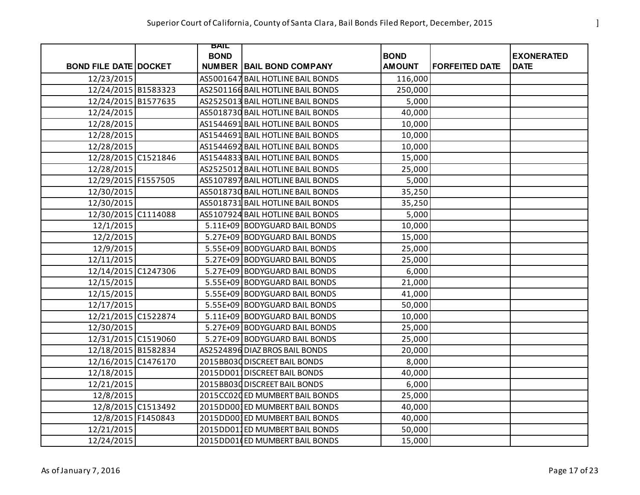|                              | BAIL        |                                   |               |                       |                   |
|------------------------------|-------------|-----------------------------------|---------------|-----------------------|-------------------|
|                              | <b>BOND</b> |                                   | <b>BOND</b>   |                       | <b>EXONERATED</b> |
| <b>BOND FILE DATE DOCKET</b> |             | <b>NUMBER BAIL BOND COMPANY</b>   | <b>AMOUNT</b> | <b>FORFEITED DATE</b> | <b>DATE</b>       |
| 12/23/2015                   |             | AS5001647 BAIL HOTLINE BAIL BONDS | 116,000       |                       |                   |
| 12/24/2015 B1583323          |             | AS2501166 BAIL HOTLINE BAIL BONDS | 250,000       |                       |                   |
| 12/24/2015 B1577635          |             | AS2525013 BAIL HOTLINE BAIL BONDS | 5,000         |                       |                   |
| 12/24/2015                   |             | AS5018730 BAIL HOTLINE BAIL BONDS | 40,000        |                       |                   |
| 12/28/2015                   |             | AS1544691 BAIL HOTLINE BAIL BONDS | 10,000        |                       |                   |
| 12/28/2015                   |             | AS1544691 BAIL HOTLINE BAIL BONDS | 10,000        |                       |                   |
| 12/28/2015                   |             | AS1544692 BAIL HOTLINE BAIL BONDS | 10,000        |                       |                   |
| 12/28/2015 C1521846          |             | AS1544833 BAIL HOTLINE BAIL BONDS | 15,000        |                       |                   |
| 12/28/2015                   |             | AS2525012 BAIL HOTLINE BAIL BONDS | 25,000        |                       |                   |
| 12/29/2015 F1557505          |             | AS5107897 BAIL HOTLINE BAIL BONDS | 5,000         |                       |                   |
| 12/30/2015                   |             | AS5018730 BAIL HOTLINE BAIL BONDS | 35,250        |                       |                   |
| 12/30/2015                   |             | AS5018731 BAIL HOTLINE BAIL BONDS | 35,250        |                       |                   |
| 12/30/2015 C1114088          |             | AS5107924 BAIL HOTLINE BAIL BONDS | 5,000         |                       |                   |
| 12/1/2015                    |             | 5.11E+09 BODYGUARD BAIL BONDS     | 10,000        |                       |                   |
| 12/2/2015                    |             | 5.27E+09 BODYGUARD BAIL BONDS     | 15,000        |                       |                   |
| 12/9/2015                    |             | 5.55E+09 BODYGUARD BAIL BONDS     | 25,000        |                       |                   |
| 12/11/2015                   |             | 5.27E+09 BODYGUARD BAIL BONDS     | 25,000        |                       |                   |
| 12/14/2015 C1247306          |             | 5.27E+09 BODYGUARD BAIL BONDS     | 6,000         |                       |                   |
| 12/15/2015                   |             | 5.55E+09 BODYGUARD BAIL BONDS     | 21,000        |                       |                   |
| 12/15/2015                   |             | 5.55E+09 BODYGUARD BAIL BONDS     | 41,000        |                       |                   |
| 12/17/2015                   |             | 5.55E+09 BODYGUARD BAIL BONDS     | 50,000        |                       |                   |
| 12/21/2015 C1522874          |             | 5.11E+09 BODYGUARD BAIL BONDS     | 10,000        |                       |                   |
| 12/30/2015                   |             | 5.27E+09 BODYGUARD BAIL BONDS     | 25,000        |                       |                   |
| 12/31/2015 C1519060          |             | 5.27E+09 BODYGUARD BAIL BONDS     | 25,000        |                       |                   |
| 12/18/2015 B1582834          |             | AS2524896 DIAZ BROS BAIL BONDS    | 20,000        |                       |                   |
| 12/16/2015 C1476170          |             | 2015BB030 DISCREET BAIL BONDS     | 8,000         |                       |                   |
| 12/18/2015                   |             | 2015DD011DISCREET BAIL BONDS      | 40,000        |                       |                   |
| 12/21/2015                   |             | 2015BB030 DISCREET BAIL BONDS     | 6,000         |                       |                   |
| 12/8/2015                    |             | 2015CC020 ED MUMBERT BAIL BONDS   | 25,000        |                       |                   |
| 12/8/2015 C1513492           |             | 2015DD001ED MUMBERT BAIL BONDS    | 40,000        |                       |                   |
| 12/8/2015 F1450843           |             | 2015DD001ED MUMBERT BAIL BONDS    | 40,000        |                       |                   |
| 12/21/2015                   |             | 2015DD011ED MUMBERT BAIL BONDS    | 50,000        |                       |                   |
| 12/24/2015                   |             | 2015DD01 ED MUMBERT BAIL BONDS    | 15,000        |                       |                   |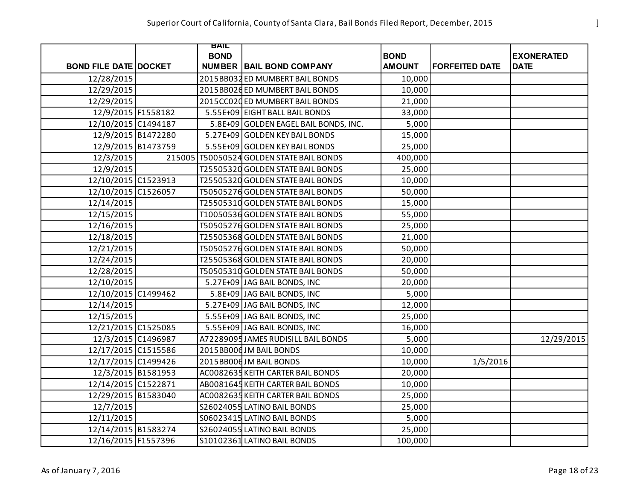|                              | BAIL        |                                            |               |                       |                   |
|------------------------------|-------------|--------------------------------------------|---------------|-----------------------|-------------------|
|                              | <b>BOND</b> |                                            | <b>BOND</b>   |                       | <b>EXONERATED</b> |
| <b>BOND FILE DATE DOCKET</b> |             | <b>NUMBER BAIL BOND COMPANY</b>            | <b>AMOUNT</b> | <b>FORFEITED DATE</b> | <b>DATE</b>       |
| 12/28/2015                   |             | 2015BB032 ED MUMBERT BAIL BONDS            | 10,000        |                       |                   |
| 12/29/2015                   |             | 2015BB026ED MUMBERT BAIL BONDS             | 10,000        |                       |                   |
| 12/29/2015                   |             | 2015CC020 ED MUMBERT BAIL BONDS            | 21,000        |                       |                   |
| 12/9/2015 F1558182           |             | 5.55E+09 EIGHT BALL BAIL BONDS             | 33,000        |                       |                   |
| 12/10/2015 C1494187          |             | 5.8E+09 GOLDEN EAGEL BAIL BONDS, INC.      | 5,000         |                       |                   |
| 12/9/2015 B1472280           |             | 5.27E+09 GOLDEN KEY BAIL BONDS             | 15,000        |                       |                   |
| 12/9/2015 B1473759           |             | 5.55E+09 GOLDEN KEY BAIL BONDS             | 25,000        |                       |                   |
| 12/3/2015                    |             | 215005   T50050524 GOLDEN STATE BAIL BONDS | 400,000       |                       |                   |
| 12/9/2015                    |             | T25505320 GOLDEN STATE BAIL BONDS          | 25,000        |                       |                   |
| 12/10/2015 C1523913          |             | T25505320 GOLDEN STATE BAIL BONDS          | 10,000        |                       |                   |
| 12/10/2015 C1526057          |             | T50505276 GOLDEN STATE BAIL BONDS          | 50,000        |                       |                   |
| 12/14/2015                   |             | T25505310 GOLDEN STATE BAIL BONDS          | 15,000        |                       |                   |
| 12/15/2015                   |             | T10050536 GOLDEN STATE BAIL BONDS          | 55,000        |                       |                   |
| 12/16/2015                   |             | T50505276 GOLDEN STATE BAIL BONDS          | 25,000        |                       |                   |
| 12/18/2015                   |             | T25505368 GOLDEN STATE BAIL BONDS          | 21,000        |                       |                   |
| 12/21/2015                   |             | T50505276 GOLDEN STATE BAIL BONDS          | 50,000        |                       |                   |
| 12/24/2015                   |             | T25505368 GOLDEN STATE BAIL BONDS          | 20,000        |                       |                   |
| 12/28/2015                   |             | T50505310 GOLDEN STATE BAIL BONDS          | 50,000        |                       |                   |
| 12/10/2015                   |             | 5.27E+09 JAG BAIL BONDS, INC               | 20,000        |                       |                   |
| 12/10/2015 C1499462          |             | 5.8E+09 JAG BAIL BONDS, INC                | 5,000         |                       |                   |
| 12/14/2015                   |             | 5.27E+09 JAG BAIL BONDS, INC               | 12,000        |                       |                   |
| 12/15/2015                   |             | 5.55E+09 JAG BAIL BONDS, INC               | 25,000        |                       |                   |
| 12/21/2015 C1525085          |             | 5.55E+09 JAG BAIL BONDS, INC               | 16,000        |                       |                   |
| 12/3/2015 C1496987           |             | A72289095 JAMES RUDISILL BAIL BONDS        | 5,000         |                       | 12/29/2015        |
| 12/17/2015 C1515586          |             | 2015BB006JM BAIL BONDS                     | 10,000        |                       |                   |
| 12/17/2015 C1499426          |             | 2015BB006JM BAIL BONDS                     | 10,000        | 1/5/2016              |                   |
| 12/3/2015 B1581953           |             | AC0082635 KEITH CARTER BAIL BONDS          | 20,000        |                       |                   |
| 12/14/2015 C1522871          |             | AB0081645 KEITH CARTER BAIL BONDS          | 10,000        |                       |                   |
| 12/29/2015 B1583040          |             | AC0082635 KEITH CARTER BAIL BONDS          | 25,000        |                       |                   |
| 12/7/2015                    |             | S26024055 LATINO BAIL BONDS                | 25,000        |                       |                   |
| 12/11/2015                   |             | S06023415 LATINO BAIL BONDS                | 5,000         |                       |                   |
| 12/14/2015 B1583274          |             | S26024055 LATINO BAIL BONDS                | 25,000        |                       |                   |
| 12/16/2015 F1557396          |             | S10102361 LATINO BAIL BONDS                | 100,000       |                       |                   |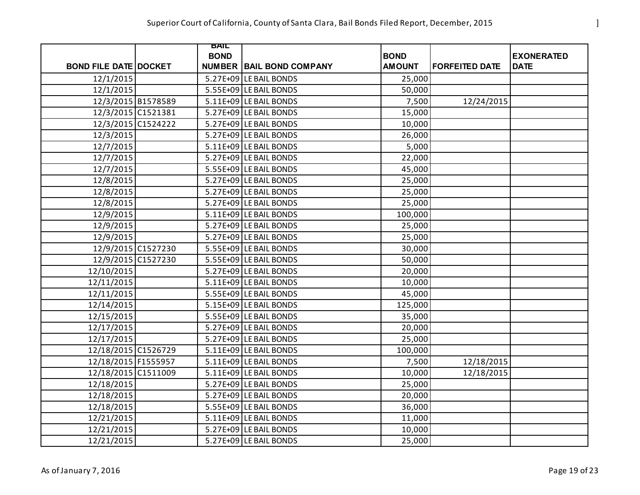|                              | BAIL        |                                 |                              |                       |                                  |
|------------------------------|-------------|---------------------------------|------------------------------|-----------------------|----------------------------------|
|                              | <b>BOND</b> | <b>NUMBER BAIL BOND COMPANY</b> | <b>BOND</b><br><b>AMOUNT</b> | <b>FORFEITED DATE</b> | <b>EXONERATED</b><br><b>DATE</b> |
| <b>BOND FILE DATE DOCKET</b> |             |                                 |                              |                       |                                  |
| 12/1/2015                    |             | 5.27E+09 LE BAIL BONDS          | 25,000                       |                       |                                  |
| 12/1/2015                    |             | 5.55E+09 LE BAIL BONDS          | 50,000                       |                       |                                  |
| 12/3/2015 B1578589           |             | 5.11E+09 LE BAIL BONDS          | 7,500                        | 12/24/2015            |                                  |
| 12/3/2015 C1521381           |             | 5.27E+09 LE BAIL BONDS          | 15,000                       |                       |                                  |
| 12/3/2015 C1524222           |             | 5.27E+09 LE BAIL BONDS          | 10,000                       |                       |                                  |
| 12/3/2015                    |             | 5.27E+09 LE BAIL BONDS          | 26,000                       |                       |                                  |
| 12/7/2015                    |             | 5.11E+09 LE BAIL BONDS          | 5,000                        |                       |                                  |
| 12/7/2015                    |             | 5.27E+09 LE BAIL BONDS          | 22,000                       |                       |                                  |
| 12/7/2015                    |             | 5.55E+09 LE BAIL BONDS          | 45,000                       |                       |                                  |
| 12/8/2015                    |             | 5.27E+09 LE BAIL BONDS          | 25,000                       |                       |                                  |
| 12/8/2015                    |             | 5.27E+09 LE BAIL BONDS          | 25,000                       |                       |                                  |
| 12/8/2015                    |             | 5.27E+09 LE BAIL BONDS          | 25,000                       |                       |                                  |
| 12/9/2015                    |             | 5.11E+09 LE BAIL BONDS          | 100,000                      |                       |                                  |
| 12/9/2015                    |             | 5.27E+09 LE BAIL BONDS          | 25,000                       |                       |                                  |
| 12/9/2015                    |             | 5.27E+09 LE BAIL BONDS          | 25,000                       |                       |                                  |
| 12/9/2015 C1527230           |             | 5.55E+09 LE BAIL BONDS          | 30,000                       |                       |                                  |
| 12/9/2015 C1527230           |             | 5.55E+09 LE BAIL BONDS          | 50,000                       |                       |                                  |
| 12/10/2015                   |             | 5.27E+09 LE BAIL BONDS          | 20,000                       |                       |                                  |
| 12/11/2015                   |             | 5.11E+09 LE BAIL BONDS          | 10,000                       |                       |                                  |
| 12/11/2015                   |             | 5.55E+09 LE BAIL BONDS          | 45,000                       |                       |                                  |
| 12/14/2015                   |             | 5.15E+09 LE BAIL BONDS          | 125,000                      |                       |                                  |
| 12/15/2015                   |             | 5.55E+09 LE BAIL BONDS          | 35,000                       |                       |                                  |
| 12/17/2015                   |             | 5.27E+09 LE BAIL BONDS          | 20,000                       |                       |                                  |
| 12/17/2015                   |             | 5.27E+09 LE BAIL BONDS          | 25,000                       |                       |                                  |
| 12/18/2015 C1526729          |             | 5.11E+09 LE BAIL BONDS          | 100,000                      |                       |                                  |
| 12/18/2015 F1555957          |             | 5.11E+09 LE BAIL BONDS          | 7,500                        | 12/18/2015            |                                  |
| 12/18/2015 C1511009          |             | 5.11E+09 LE BAIL BONDS          | 10,000                       | 12/18/2015            |                                  |
| 12/18/2015                   |             | 5.27E+09 LE BAIL BONDS          | 25,000                       |                       |                                  |
| 12/18/2015                   |             | 5.27E+09 LE BAIL BONDS          | 20,000                       |                       |                                  |
| 12/18/2015                   |             | 5.55E+09 LE BAIL BONDS          | 36,000                       |                       |                                  |
| 12/21/2015                   |             | 5.11E+09 LE BAIL BONDS          | 11,000                       |                       |                                  |
| 12/21/2015                   |             | 5.27E+09 LE BAIL BONDS          | 10,000                       |                       |                                  |
| 12/21/2015                   |             | 5.27E+09 LE BAIL BONDS          | 25,000                       |                       |                                  |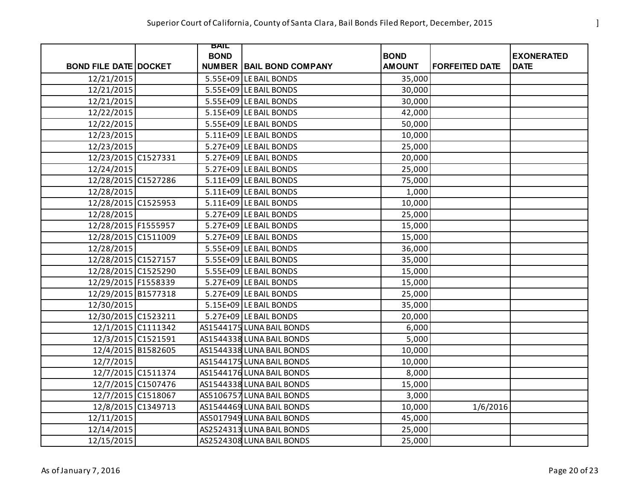|                              | BAIL        |                                 |               |                       |                   |
|------------------------------|-------------|---------------------------------|---------------|-----------------------|-------------------|
|                              | <b>BOND</b> |                                 | <b>BOND</b>   |                       | <b>EXONERATED</b> |
| <b>BOND FILE DATE DOCKET</b> |             | <b>NUMBER BAIL BOND COMPANY</b> | <b>AMOUNT</b> | <b>FORFEITED DATE</b> | <b>DATE</b>       |
| 12/21/2015                   |             | 5.55E+09 LE BAIL BONDS          | 35,000        |                       |                   |
| 12/21/2015                   |             | 5.55E+09 LE BAIL BONDS          | 30,000        |                       |                   |
| 12/21/2015                   |             | 5.55E+09 LE BAIL BONDS          | 30,000        |                       |                   |
| 12/22/2015                   |             | 5.15E+09 LE BAIL BONDS          | 42,000        |                       |                   |
| 12/22/2015                   |             | 5.55E+09 LE BAIL BONDS          | 50,000        |                       |                   |
| 12/23/2015                   |             | 5.11E+09 LE BAIL BONDS          | 10,000        |                       |                   |
| 12/23/2015                   |             | 5.27E+09 LE BAIL BONDS          | 25,000        |                       |                   |
| 12/23/2015 C1527331          |             | 5.27E+09 LE BAIL BONDS          | 20,000        |                       |                   |
| 12/24/2015                   |             | 5.27E+09 LE BAIL BONDS          | 25,000        |                       |                   |
| 12/28/2015 C1527286          |             | 5.11E+09 LE BAIL BONDS          | 75,000        |                       |                   |
| 12/28/2015                   |             | 5.11E+09 LE BAIL BONDS          | 1,000         |                       |                   |
| 12/28/2015 C1525953          |             | 5.11E+09 LE BAIL BONDS          | 10,000        |                       |                   |
| 12/28/2015                   |             | 5.27E+09 LE BAIL BONDS          | 25,000        |                       |                   |
| 12/28/2015 F1555957          |             | 5.27E+09 LE BAIL BONDS          | 15,000        |                       |                   |
| 12/28/2015 C1511009          |             | 5.27E+09 LE BAIL BONDS          | 15,000        |                       |                   |
| 12/28/2015                   |             | 5.55E+09 LE BAIL BONDS          | 36,000        |                       |                   |
| 12/28/2015 C1527157          |             | 5.55E+09 LE BAIL BONDS          | 35,000        |                       |                   |
| 12/28/2015 C1525290          |             | 5.55E+09 LE BAIL BONDS          | 15,000        |                       |                   |
| 12/29/2015 F1558339          |             | 5.27E+09 LE BAIL BONDS          | 15,000        |                       |                   |
| 12/29/2015 B1577318          |             | 5.27E+09 LE BAIL BONDS          | 25,000        |                       |                   |
| 12/30/2015                   |             | 5.15E+09 LE BAIL BONDS          | 35,000        |                       |                   |
| 12/30/2015 C1523211          |             | 5.27E+09 LE BAIL BONDS          | 20,000        |                       |                   |
| 12/1/2015 C1111342           |             | AS1544175 LUNA BAIL BONDS       | 6,000         |                       |                   |
| 12/3/2015 C1521591           |             | AS1544338 LUNA BAIL BONDS       | 5,000         |                       |                   |
| 12/4/2015 B1582605           |             | AS1544338 LUNA BAIL BONDS       | 10,000        |                       |                   |
| 12/7/2015                    |             | AS1544175 LUNA BAIL BONDS       | 10,000        |                       |                   |
| 12/7/2015 C1511374           |             | AS1544176 LUNA BAIL BONDS       | 8,000         |                       |                   |
| 12/7/2015 C1507476           |             | AS1544338 LUNA BAIL BONDS       | 15,000        |                       |                   |
| 12/7/2015 C1518067           |             | AS5106757 LUNA BAIL BONDS       | 3,000         |                       |                   |
| 12/8/2015 C1349713           |             | AS1544469 LUNA BAIL BONDS       | 10,000        | 1/6/2016              |                   |
| 12/11/2015                   |             | AS5017949 LUNA BAIL BONDS       | 45,000        |                       |                   |
| 12/14/2015                   |             | AS2524313 LUNA BAIL BONDS       | 25,000        |                       |                   |
| 12/15/2015                   |             | AS2524308 LUNA BAIL BONDS       | 25,000        |                       |                   |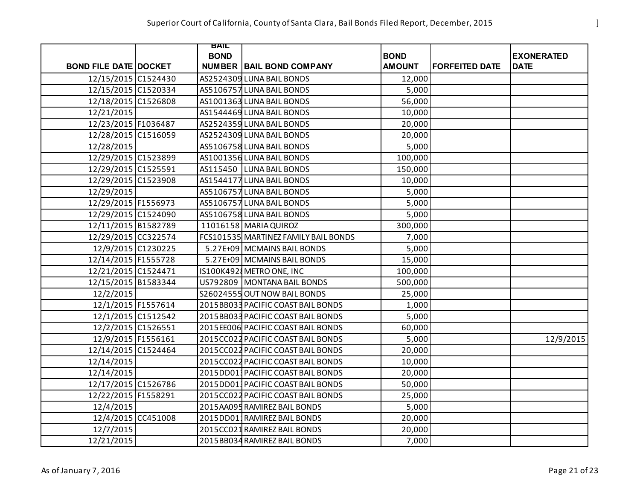|                              | BAIL        |                                      |               |                       |                   |
|------------------------------|-------------|--------------------------------------|---------------|-----------------------|-------------------|
|                              | <b>BOND</b> |                                      | <b>BOND</b>   |                       | <b>EXONERATED</b> |
| <b>BOND FILE DATE DOCKET</b> |             | <b>NUMBER BAIL BOND COMPANY</b>      | <b>AMOUNT</b> | <b>FORFEITED DATE</b> | <b>DATE</b>       |
| 12/15/2015 C1524430          |             | AS2524309 LUNA BAIL BONDS            | 12,000        |                       |                   |
| 12/15/2015 C1520334          |             | AS5106757 LUNA BAIL BONDS            | 5,000         |                       |                   |
| 12/18/2015 C1526808          |             | AS1001363 LUNA BAIL BONDS            | 56,000        |                       |                   |
| 12/21/2015                   |             | AS1544469 LUNA BAIL BONDS            | 10,000        |                       |                   |
| 12/23/2015 F1036487          |             | AS2524359 LUNA BAIL BONDS            | 20,000        |                       |                   |
| 12/28/2015 C1516059          |             | AS2524309 LUNA BAIL BONDS            | 20,000        |                       |                   |
| 12/28/2015                   |             | AS5106758 LUNA BAIL BONDS            | 5,000         |                       |                   |
| 12/29/2015 C1523899          |             | AS1001356 LUNA BAIL BONDS            | 100,000       |                       |                   |
| 12/29/2015 C1525591          |             | AS115450 LUNA BAIL BONDS             | 150,000       |                       |                   |
| 12/29/2015 C1523908          |             | AS1544177 LUNA BAIL BONDS            | 10,000        |                       |                   |
| 12/29/2015                   |             | AS5106757 LUNA BAIL BONDS            | 5,000         |                       |                   |
| 12/29/2015 F1556973          |             | AS5106757 LUNA BAIL BONDS            | 5,000         |                       |                   |
| 12/29/2015 C1524090          |             | AS5106758 LUNA BAIL BONDS            | 5,000         |                       |                   |
| 12/11/2015 B1582789          |             | 11016158 MARIA QUIROZ                | 300,000       |                       |                   |
| 12/29/2015 CC322574          |             | FCS101535 MARTINEZ FAMILY BAIL BONDS | 7,000         |                       |                   |
| 12/9/2015 C1230225           |             | 5.27E+09 MCMAINS BAIL BONDS          | 5,000         |                       |                   |
| 12/14/2015 F1555728          |             | 5.27E+09 MCMAINS BAIL BONDS          | 15,000        |                       |                   |
| 12/21/2015 C1524471          |             | IS100K4928 METRO ONE, INC            | 100,000       |                       |                   |
| 12/15/2015 B1583344          |             | US792809   MONTANA BAIL BONDS        | 500,000       |                       |                   |
| 12/2/2015                    |             | S26024555 OUT NOW BAIL BONDS         | 25,000        |                       |                   |
| 12/1/2015 F1557614           |             | 2015BB033 PACIFIC COAST BAIL BONDS   | 1,000         |                       |                   |
| 12/1/2015 C1512542           |             | 2015BB033 PACIFIC COAST BAIL BONDS   | 5,000         |                       |                   |
| 12/2/2015 C1526551           |             | 2015EE006 PACIFIC COAST BAIL BONDS   | 60,000        |                       |                   |
| 12/9/2015 F1556161           |             | 2015CC022 PACIFIC COAST BAIL BONDS   | 5,000         |                       | 12/9/2015         |
| 12/14/2015 C1524464          |             | 2015CC022 PACIFIC COAST BAIL BONDS   | 20,000        |                       |                   |
| 12/14/2015                   |             | 2015CC022 PACIFIC COAST BAIL BONDS   | 10,000        |                       |                   |
| 12/14/2015                   |             | 2015DD01 PACIFIC COAST BAIL BONDS    | 20,000        |                       |                   |
| 12/17/2015 C1526786          |             | 2015DD011 PACIFIC COAST BAIL BONDS   | 50,000        |                       |                   |
| 12/22/2015 F1558291          |             | 2015CC022 PACIFIC COAST BAIL BONDS   | 25,000        |                       |                   |
| 12/4/2015                    |             | 2015AA095 RAMIREZ BAIL BONDS         | 5,000         |                       |                   |
| 12/4/2015 CC451008           |             | 2015DD011RAMIREZ BAIL BONDS          | 20,000        |                       |                   |
| 12/7/2015                    |             | 2015CC021 RAMIREZ BAIL BONDS         | 20,000        |                       |                   |
| 12/21/2015                   |             | 2015BB034 RAMIREZ BAIL BONDS         | 7,000         |                       |                   |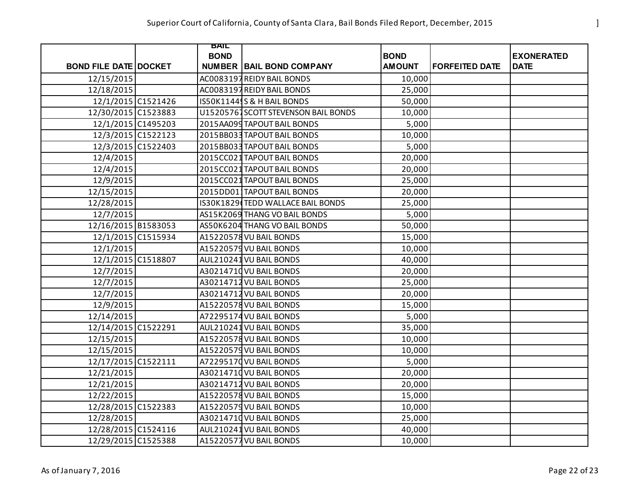|                              | BAIL        |                                     |               |                       |                   |
|------------------------------|-------------|-------------------------------------|---------------|-----------------------|-------------------|
|                              | <b>BOND</b> |                                     | <b>BOND</b>   |                       | <b>EXONERATED</b> |
| <b>BOND FILE DATE DOCKET</b> |             | <b>NUMBER   BAIL BOND COMPANY</b>   | <b>AMOUNT</b> | <b>FORFEITED DATE</b> | <b>DATE</b>       |
| 12/15/2015                   |             | AC0083197 REIDY BAIL BONDS          | 10,000        |                       |                   |
| 12/18/2015                   |             | AC0083197 REIDY BAIL BONDS          | 25,000        |                       |                   |
| 12/1/2015 C1521426           |             | IS50K1144S& H BAIL BONDS            | 50,000        |                       |                   |
| 12/30/2015 C1523883          |             | U15205767SCOTT STEVENSON BAIL BONDS | 10,000        |                       |                   |
| 12/1/2015 C1495203           |             | 2015AA099 TAPOUT BAIL BONDS         | 5,000         |                       |                   |
| 12/3/2015 C1522123           |             | 2015BB033 TAPOUT BAIL BONDS         | 10,000        |                       |                   |
| 12/3/2015 C1522403           |             | 2015BB033 TAPOUT BAIL BONDS         | 5,000         |                       |                   |
| 12/4/2015                    |             | 2015CC021 TAPOUT BAIL BONDS         | 20,000        |                       |                   |
| 12/4/2015                    |             | 2015CC021 TAPOUT BAIL BONDS         | 20,000        |                       |                   |
| 12/9/2015                    |             | 2015CC021 TAPOUT BAIL BONDS         | 25,000        |                       |                   |
| 12/15/2015                   |             | 2015DD011TAPOUT BAIL BONDS          | 20,000        |                       |                   |
| 12/28/2015                   |             | IS30K1829 TEDD WALLACE BAIL BONDS   | 25,000        |                       |                   |
| 12/7/2015                    |             | AS15K2069 THANG VO BAIL BONDS       | 5,000         |                       |                   |
| 12/16/2015 B1583053          |             | AS50K6204 THANG VO BAIL BONDS       | 50,000        |                       |                   |
| 12/1/2015 C1515934           |             | A15220578 VU BAIL BONDS             | 15,000        |                       |                   |
| 12/1/2015                    |             | A15220579 VU BAIL BONDS             | 10,000        |                       |                   |
| 12/1/2015 C1518807           |             | AUL210241 VU BAIL BONDS             | 40,000        |                       |                   |
| 12/7/2015                    |             | A30214710 VU BAIL BONDS             | 20,000        |                       |                   |
| 12/7/2015                    |             | A30214712 VU BAIL BONDS             | 25,000        |                       |                   |
| 12/7/2015                    |             | A30214712 VU BAIL BONDS             | 20,000        |                       |                   |
| 12/9/2015                    |             | A15220578 VU BAIL BONDS             | 15,000        |                       |                   |
| 12/14/2015                   |             | A72295174 VU BAIL BONDS             | 5,000         |                       |                   |
| 12/14/2015 C1522291          |             | AUL210241 VU BAIL BONDS             | 35,000        |                       |                   |
| 12/15/2015                   |             | A15220578 VU BAIL BONDS             | 10,000        |                       |                   |
| 12/15/2015                   |             | A15220579 VU BAIL BONDS             | 10,000        |                       |                   |
| 12/17/2015 C1522111          |             | A72295170 VU BAIL BONDS             | 5,000         |                       |                   |
| 12/21/2015                   |             | A30214710 VU BAIL BONDS             | 20,000        |                       |                   |
| 12/21/2015                   |             | A30214712 VU BAIL BONDS             | 20,000        |                       |                   |
| 12/22/2015                   |             | A15220578 VU BAIL BONDS             | 15,000        |                       |                   |
| 12/28/2015 C1522383          |             | A15220579 VU BAIL BONDS             | 10,000        |                       |                   |
| 12/28/2015                   |             | A30214710 VU BAIL BONDS             | 25,000        |                       |                   |
| 12/28/2015 C1524116          |             | AUL210241 VU BAIL BONDS             | 40,000        |                       |                   |
| 12/29/2015 C1525388          |             | A15220577 VU BAIL BONDS             | 10,000        |                       |                   |